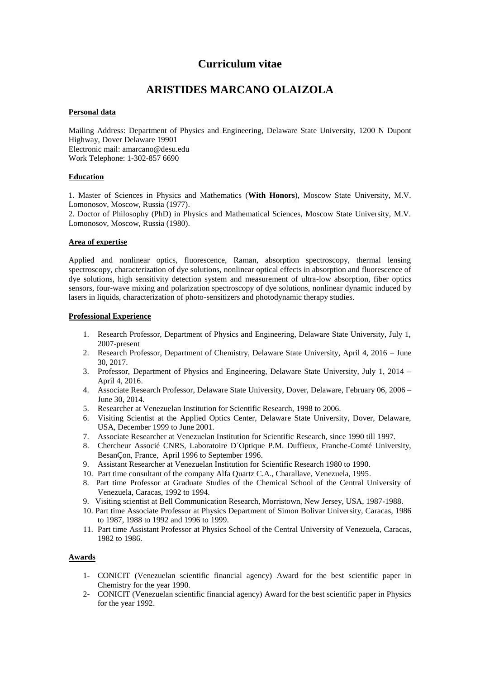# **Curriculum vitae**

# **ARISTIDES MARCANO OLAIZOLA**

# **Personal data**

Mailing Address: Department of Physics and Engineering, Delaware State University, 1200 N Dupont Highway, Dover Delaware 19901 Electronic mail: amarcano@desu.edu Work Telephone: 1-302-857 6690

### **Education**

1. Master of Sciences in Physics and Mathematics (**With Honors**), Moscow State University, M.V. Lomonosov, Moscow, Russia (1977).

2. Doctor of Philosophy (PhD) in Physics and Mathematical Sciences, Moscow State University, M.V. Lomonosov, Moscow, Russia (1980).

# **Area of expertise**

Applied and nonlinear optics, fluorescence, Raman, absorption spectroscopy, thermal lensing spectroscopy, characterization of dye solutions, nonlinear optical effects in absorption and fluorescence of dye solutions, high sensitivity detection system and measurement of ultra-low absorption, fiber optics sensors, four-wave mixing and polarization spectroscopy of dye solutions, nonlinear dynamic induced by lasers in liquids, characterization of photo-sensitizers and photodynamic therapy studies.

### **Professional Experience**

- 1. Research Professor, Department of Physics and Engineering, Delaware State University, July 1, 2007-present
- 2. Research Professor, Department of Chemistry, Delaware State University, April 4, 2016 June 30, 2017.
- 3. Professor, Department of Physics and Engineering, Delaware State University, July 1, 2014 April 4, 2016.
- 4. Associate Research Professor, Delaware State University, Dover, Delaware, February 06, 2006 June 30, 2014.
- 5. Researcher at Venezuelan Institution for Scientific Research, 1998 to 2006.
- 6. Visiting Scientist at the Applied Optics Center, Delaware State University, Dover, Delaware, USA, December 1999 to June 2001.
- 7. Associate Researcher at Venezuelan Institution for Scientific Research, since 1990 till 1997.
- 8. Chercheur Associé CNRS, Laboratoire D´Optique P.M. Duffieux, Franche-Comté University, BesanÇon, France, April 1996 to September 1996.
- 9. Assistant Researcher at Venezuelan Institution for Scientific Research 1980 to 1990.
- 10. Part time consultant of the company Alfa Quartz C.A., Charallave, Venezuela, 1995.
- 8. Part time Professor at Graduate Studies of the Chemical School of the Central University of Venezuela, Caracas, 1992 to 1994.
- 9. Visiting scientist at Bell Communication Research, Morristown, New Jersey, USA, 1987-1988.
- 10. Part time Associate Professor at Physics Department of Simon Bolivar University, Caracas, 1986 to 1987, 1988 to 1992 and 1996 to 1999.
- 11. Part time Assistant Professor at Physics School of the Central University of Venezuela, Caracas, 1982 to 1986.

# **Awards**

- 1- CONICIT (Venezuelan scientific financial agency) Award for the best scientific paper in Chemistry for the year 1990.
- 2- CONICIT (Venezuelan scientific financial agency) Award for the best scientific paper in Physics for the year 1992.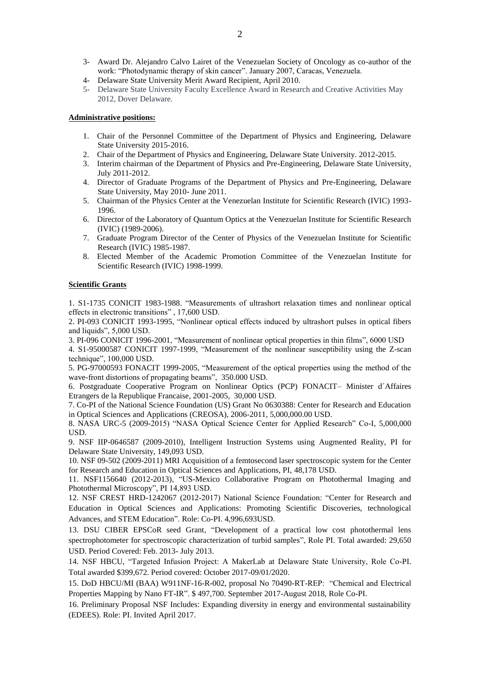- 3- Award Dr. Alejandro Calvo Lairet of the Venezuelan Society of Oncology as co-author of the work: "Photodynamic therapy of skin cancer". January 2007, Caracas, Venezuela.
- 4- Delaware State University Merit Award Recipient, April 2010.
- 5- Delaware State University Faculty Excellence Award in Research and Creative Activities May 2012, Dover Delaware.

### **Administrative positions:**

- 1. Chair of the Personnel Committee of the Department of Physics and Engineering, Delaware State University 2015-2016.
- 2. Chair of the Department of Physics and Engineering, Delaware State University. 2012-2015.
- 3. Interim chairman of the Department of Physics and Pre-Engineering, Delaware State University, July 2011-2012.
- 4. Director of Graduate Programs of the Department of Physics and Pre-Engineering, Delaware State University, May 2010- June 2011.
- 5. Chairman of the Physics Center at the Venezuelan Institute for Scientific Research (IVIC) 1993- 1996.
- 6. Director of the Laboratory of Quantum Optics at the Venezuelan Institute for Scientific Research (IVIC) (1989-2006).
- 7. Graduate Program Director of the Center of Physics of the Venezuelan Institute for Scientific Research (IVIC) 1985-1987.
- 8. Elected Member of the Academic Promotion Committee of the Venezuelan Institute for Scientific Research (IVIC) 1998-1999.

### **Scientific Grants**

1. S1-1735 CONICIT 1983-1988. "Measurements of ultrashort relaxation times and nonlinear optical effects in electronic transitions" , 17,600 USD.

2. PI-093 CONICIT 1993-1995, "Nonlinear optical effects induced by ultrashort pulses in optical fibers and liquids", 5,000 USD.

3. PI-096 CONICIT 1996-2001, "Measurement of nonlinear optical properties in thin films", 6000 USD

4. S1-95000587 CONICIT 1997-1999, "Measurement of the nonlinear susceptibility using the Z-scan technique", 100,000 USD.

5. PG-97000593 FONACIT 1999-2005, "Measurement of the optical properties using the method of the wave-front distortions of propagating beams", 350.000 USD.

6. Postgraduate Cooperative Program on Nonlinear Optics (PCP) FONACIT– Minister d´Affaires Etrangers de la Republique Francaise, 2001-2005, 30,000 USD.

7. Co-PI of the National Science Foundation (US) Grant No 0630388: Center for Research and Education in Optical Sciences and Applications (CREOSA), 2006-2011, 5,000,000.00 USD.

8. NASA URC-5 (2009-2015) "NASA Optical Science Center for Applied Research" Co-I, 5,000,000 USD.

9. NSF IIP-0646587 (2009-2010), Intelligent Instruction Systems using Augmented Reality, PI for Delaware State University, 149,093 USD.

10. NSF 09-502 (2009-2011) MRI Acquisition of a femtosecond laser spectroscopic system for the Center for Research and Education in Optical Sciences and Applications, PI, 48,178 USD.

11. NSF1156640 (2012-2013), "US-Mexico Collaborative Program on Photothermal Imaging and Photothermal Microscopy", PI 14,893 USD.

12. NSF CREST HRD-1242067 (2012-2017) National Science Foundation: "Center for Research and Education in Optical Sciences and Applications: Promoting Scientific Discoveries, technological Advances, and STEM Education". Role: Co-PI. 4,996,693USD.

13. DSU CIBER EPSCoR seed Grant, "Development of a practical low cost photothermal lens spectrophotometer for spectroscopic characterization of turbid samples", Role PI. Total awarded: 29,650 USD. Period Covered: Feb. 2013- July 2013.

14. NSF HBCU, "Targeted Infusion Project: A MakerLab at Delaware State University, Role Co-PI. Total awarded \$399,672. Period covered: October 2017-09/01/2020.

15. DoD HBCU/MI (BAA) W911NF-16-R-002, proposal No 70490-RT-REP: "Chemical and Electrical Properties Mapping by Nano FT-IR". \$ 497,700. September 2017-August 2018, Role Co-PI.

16. Preliminary Proposal NSF Includes: Expanding diversity in energy and environmental sustainability (EDEES). Role: PI. Invited April 2017.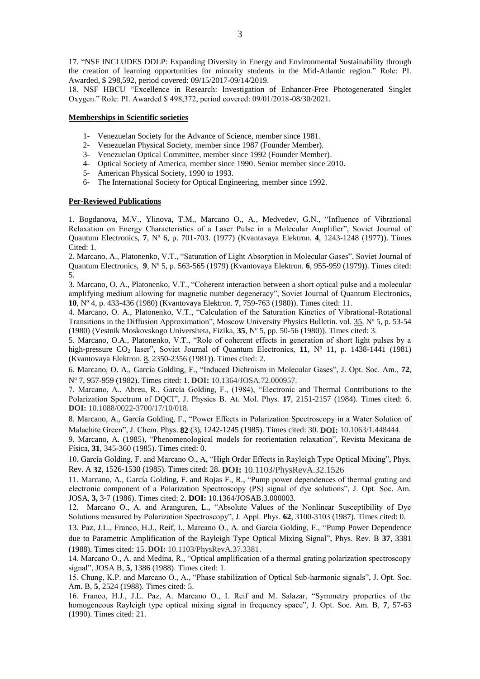17. "NSF INCLUDES DDLP: Expanding Diversity in Energy and Environmental Sustainability through the creation of learning opportunities for minority students in the Mid-Atlantic region." Role: PI. Awarded, \$ 298,592, period covered: 09/15/2017-09/14/2019.

18. NSF HBCU "Excellence in Research: Investigation of Enhancer-Free Photogenerated Singlet Oxygen." Role: PI. Awarded \$ 498,372, period covered: 09/01/2018-08/30/2021.

#### **Memberships in Scientific societies**

- 1- Venezuelan Society for the Advance of Science, member since 1981.
- 2- Venezuelan Physical Society, member since 1987 (Founder Member).
- 3- Venezuelan Optical Committee, member since 1992 (Founder Member).
- 4- Optical Society of America, member since 1990. Senior member since 2010.
- 5- American Physical Society, 1990 to 1993.
- 6- The International Society for Optical Engineering, member since 1992.

#### **Per-Reviewed Publications**

1. Bogdanova, M.V., Ylinova, T.M., Marcano O., A., Medvedev, G.N., "Influence of Vibrational Relaxation on Energy Characteristics of a Laser Pulse in a Molecular Amplifier", Soviet Journal of Quantum Electronics, **7**, Nº 6, p. 701-703. (1977) (Kvantavaya Elektron. **4**, 1243-1248 (1977)). Times Cited: 1.

2. Marcano, A., Platonenko, V.T., "Saturation of Light Absorption in Molecular Gases", Soviet Journal of Quantum Electronics, **9**, Nº 5, p. 563-565 (1979) (Kvantovaya Elektron. **6**, 955-959 (1979)). Times cited: 5.

3. Marcano, O. A., Platonenko, V.T., "Coherent interaction between a short optical pulse and a molecular amplifying medium allowing for magnetic number degeneracy", Soviet Journal of Quantum Electronics, **10**, Nº 4, p. 433-436 (1980) (Kvantovaya Elektron. **7**, 759-763 (1980)). Times cited: 11.

4. Marcano, O. A., Platonenko, V.T., "Calculation of the Saturation Kinetics of Vibrational-Rotational Transitions in the Diffusion Approximation", Moscow University Physics Bulletin. vol. 35, Nº 5, p. 53-54 (1980) (Vestnik Moskovskogo Universiteta, Fizika, **35**, Nº 5, pp. 50-56 (1980)). Times cited: 3.

5. Marcano, O.A., Platonenko, V.T., "Role of coherent effects in generation of short light pulses by a high-pressure  $CO_2$  laser", Soviet Journal of Quantum Electronics, 11, N° 11, p. 1438-1441 (1981) (Kvantovaya Elektron. 8, 2350-2356 (1981)). Times cited: 2.

6. Marcano, O. A., García Golding, F., "Induced Dichroism in Molecular Gases", J. Opt. Soc. Am., **72**, Nº 7, 957-959 (1982). Times cited: 1. **DOI:** 10.1364/JOSA.72.000957.

7. Marcano, A., Abreu, R., García Golding, F., (1984), "Electronic and Thermal Contributions to the Polarization Spectrum of DQCI", J. Physics B. At. Mol. Phys. **17**, 2151-2157 (1984). Times cited: 6. **DOI:** 10.1088/0022-3700/17/10/018.

8. Marcano, A., García Golding, F., "Power Effects in Polarization Spectroscopy in a Water Solution of Malachite Green", J. Chem. Phys. **82** (3), 1242-1245 (1985). Times cited: 30. **DOI:** 10.1063/1.448444.

9. Marcano, A. (1985), "Phenomenological models for reorientation relaxation", Revista Mexicana de Física, **31**, 345-360 (1985). Times cited: 0.

10. García Golding, F. and Marcano O., A, "High Order Effects in Rayleigh Type Optical Mixing", Phys. Rev. A **32**, 1526-1530 (1985). Times cited: 28. **DOI:** 10.1103/PhysRevA.32.1526

11. Marcano, A., García Golding, F. and Rojas F., R., "Pump power dependences of thermal grating and electronic component of a Polarization Spectroscopy (PS) signal of dye solutions", J. Opt. Soc. Am. JOSA, **3,** 3-7 (1986). Times cited: 2. **DOI:** 10.1364/JOSAB.3.000003.

12. Marcano O., A. and Aranguren, L., "Absolute Values of the Nonlinear Susceptibility of Dye Solutions measured by Polarization Spectroscopy", J. Appl. Phys. **62**, 3100-3103 (1987). Times cited: 0.

13. Paz, J.L., Franco, H.J., Reif, I., Marcano O., A. and García Golding, F., "Pump Power Dependence due to Parametric Amplification of the Rayleigh Type Optical Mixing Signal", Phys. Rev. B **37**, 3381 (1988). Times cited: 15. **DOI:** 10.1103/PhysRevA.37.3381.

14. Marcano O., A. and Medina, R., "Optical amplification of a thermal grating polarization spectroscopy signal", JOSA B, **5**, 1386 (1988). Times cited: 1.

15. Chung, K.P. and Marcano O., A., "Phase stabilization of Optical Sub-harmonic signals", J. Opt. Soc. Am. B, **5**, 2524 (1988). Times cited: 5.

16. Franco, H.J., J.L. Paz, A. Marcano O., I. Reif and M. Salazar, "Symmetry properties of the homogeneous Rayleigh type optical mixing signal in frequency space", J. Opt. Soc. Am. B, **7**, 57-63 (1990). Times cited: 21.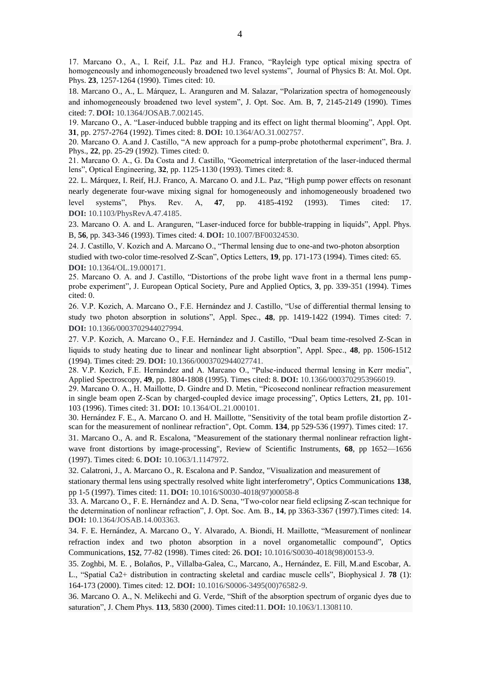17. Marcano O., A., I. Reif, J.L. Paz and H.J. Franco, "Rayleigh type optical mixing spectra of homogeneously and inhomogeneously broadened two level systems", Journal of Physics B: At. Mol. Opt. Phys. **23**, 1257-1264 (1990). Times cited: 10.

18. Marcano O., A., L. Márquez, L. Aranguren and M. Salazar, "Polarization spectra of homogeneously and inhomogeneously broadened two level system", J. Opt. Soc. Am. B, **7**, 2145-2149 (1990). Times cited: 7. **DOI:** 10.1364/JOSAB.7.002145.

19. Marcano O., A. "Laser-induced bubble trapping and its effect on light thermal blooming", Appl. Opt. **31**, pp. 2757-2764 (1992). Times cited: 8. **DOI:** 10.1364/AO.31.002757.

20. Marcano O. A.and J. Castillo, "A new approach for a pump-probe photothermal experiment", Bra. J. Phys., **22**, pp. 25-29 (1992). Times cited: 0.

21. Marcano O. A., G. Da Costa and J. Castillo, "Geometrical interpretation of the laser-induced thermal lens", Optical Engineering, **32**, pp. 1125-1130 (1993). Times cited: 8.

22. L. Márquez, I. Reif, H.J. Franco, A. Marcano O. and J.L. Paz, "High pump power effects on resonant nearly degenerate four-wave mixing signal for homogeneously and inhomogeneously broadened two level systems", Phys. Rev. A, **47**, pp. 4185-4192 (1993). Times cited: 17. **DOI:** 10.1103/PhysRevA.47.4185.

23. Marcano O. A. and L. Aranguren, "Laser-induced force for bubble-trapping in liquids", Appl. Phys. B, **56**, pp. 343-346 (1993). Times cited: 4. **DOI:** 10.1007/BF00324530.

24. J. Castillo, V. Kozich and A. Marcano O., "Thermal lensing due to one-and two-photon absorption studied with two-color time-resolved Z-Scan", Optics Letters, **19**, pp. 171-173 (1994). Times cited: 65. **DOI:** 10.1364/OL.19.000171.

25. Marcano O. A. and J. Castillo, "Distortions of the probe light wave front in a thermal lens pumpprobe experiment", J. European Optical Society, Pure and Applied Optics, **3**, pp. 339-351 (1994). Times cited: 0.

26. V.P. Kozich, A. Marcano O., F.E. Hernández and J. Castillo, "Use of differential thermal lensing to study two photon absorption in solutions", Appl. Spec., **48**, pp. 1419-1422 (1994). Times cited: 7. **DOI:** 10.1366/0003702944027994.

27. V.P. Kozich, A. Marcano O., F.E. Hernández and J. Castillo, "Dual beam time-resolved Z-Scan in liquids to study heating due to linear and nonlinear light absorption", Appl. Spec., **48**, pp. 1506-1512 (1994). Times cited: 29. **DOI:** 10.1366/0003702944027741.

28. V.P. Kozich, F.E. Hernández and A. Marcano O., "Pulse-induced thermal lensing in Kerr media", Applied Spectroscopy, **49**, pp. 1804-1808 (1995). Times cited: 8. **DOI:** 10.1366/0003702953966019.

29. Marcano O. A., H. Maillotte, D. Gindre and D. Metin, "Picosecond nonlinear refraction measurement in single beam open Z-Scan by charged-coupled device image processing", Optics Letters, **21**, pp. 101- 103 (1996). Times cited: 31. **DOI:** 10.1364/OL.21.000101.

30. Hernández F. E., A. Marcano O. and H. Maillotte, "Sensitivity of the total beam profile distortion Zscan for the measurement of nonlinear refraction", Opt. Comm. **134**, pp 529-536 (1997). Times cited: 17.

31. Marcano O., A. and R. Escalona, "Measurement of the stationary thermal nonlinear refraction lightwave front distortions by image-processing", Review of Scientific Instruments, **68**, pp 1652—1656 (1997). Times cited: 6. **DOI:** 10.1063/1.1147972.

32. Calatroni, J., A. Marcano O., R. Escalona and P. Sandoz, "Visualization and measurement of

stationary thermal lens using spectrally resolved white light interferometry", Optics Communications **138**, pp 1-5 (1997). Times cited: 11. **DOI:** 10.1016/S0030-4018(97)00058-8

33. A. Marcano O., F. E. Hernández and A. D. Sena, "Two-color near field eclipsing Z-scan technique for the determination of nonlinear refraction", J. Opt. Soc. Am. B., **14**, pp 3363-3367 (1997).Times cited: 14. **DOI:** 10.1364/JOSAB.14.003363.

34. F. E. Hernández, A. Marcano O., Y. Alvarado, A. Biondi, H. Maillotte, "Measurement of nonlinear refraction index and two photon absorption in a novel organometallic compound", Optics Communications, **152**, 77-82 (1998). Times cited: 26. **DOI:** 10.1016/S0030-4018(98)00153-9.

35. Zoghbi, M. E. , Bolaños, P., Villalba-Galea, C., Marcano, A., Hernández, E. Fill, M.and Escobar, A. L., "Spatial Ca2+ distribution in contracting skeletal and cardiac muscle cells", Biophysical J. **78** (1): 164-173 (2000). Times cited: 12. **DOI:** 10.1016/S0006-3495(00)76582-9.

36. Marcano O. A., N. Melikechi and G. Verde, "Shift of the absorption spectrum of organic dyes due to saturation", J. Chem Phys. **113**, 5830 (2000). Times cited:11. **DOI:** 10.1063/1.1308110.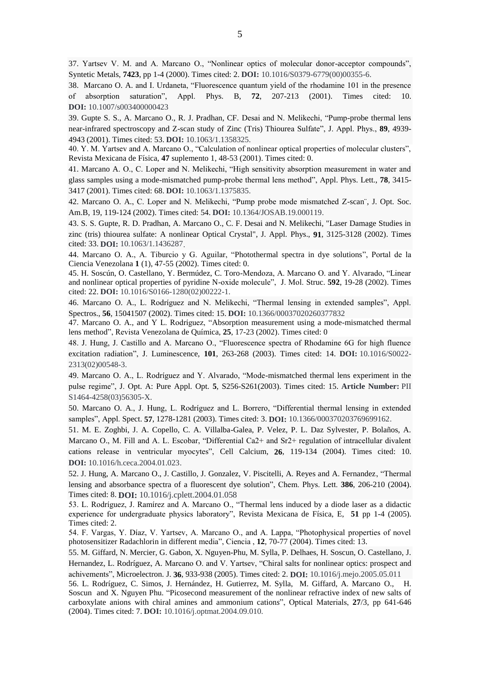37. Yartsev V. M. and A. Marcano O., "Nonlinear optics of molecular donor-acceptor compounds", Syntetic Metals, **7423**, pp 1-4 (2000). Times cited: 2. **DOI:** 10.1016/S0379-6779(00)00355-6.

38. Marcano O. A. and I. Urdaneta, "Fluorescence quantum yield of the rhodamine 101 in the presence of absorption saturation", Appl. Phys. B, **72**, 207-213 (2001). Times cited: 10. **DOI:** 10.1007/s003400000423

39. Gupte S. S., A. Marcano O., R. J. Pradhan, CF. Desai and N. Melikechi, "Pump-probe thermal lens near-infrared spectroscopy and Z-scan study of Zinc (Tris) Thiourea Sulfate", J. Appl. Phys., **89**, 4939- 4943 (2001). Times cited: 53. **DOI:** 10.1063/1.1358325.

40. Y. M. Yartsev and A. Marcano O., "Calculation of nonlinear optical properties of molecular clusters", Revista Mexicana de Física, **47** suplemento 1, 48-53 (2001). Times cited: 0.

41. Marcano A. O., C. Loper and N. Melikechi, "High sensitivity absorption measurement in water and glass samples using a mode-mismatched pump-probe thermal lens method", Appl. Phys. Lett., **78**, 3415- 3417 (2001). Times cited: 68. **DOI:** 10.1063/1.1375835.

42. Marcano O. A., C. Loper and N. Melikechi, "Pump probe mode mismatched Z-scan¨, J. Opt. Soc. Am.B, 19, 119-124 (2002). Times cited: 54. **DOI:** 10.1364/JOSAB.19.000119.

43. S. S. Gupte, R. D. Pradhan, A. Marcano O., C. F. Desai and N. Melikechi, "Laser Damage Studies in zinc (tris) thiourea sulfate: A nonlinear Optical Crystal", J. Appl. Phys., **91**, 3125-3128 (2002). Times cited: 33. **DOI:** 10.1063/1.1436287.

44. Marcano O. A., A. Tiburcio y G. Aguilar, "Photothermal spectra in dye solutions", Portal de la Ciencia Venezolana **1** (1), 47-55 (2002). Times cited: 0.

45. H. Soscún, O. Castellano, Y. Bermúdez, C. Toro-Mendoza, A. Marcano O. and Y. Alvarado, "Linear and nonlinear optical properties of pyridine N-oxide molecule", J. Mol. Struc. **592**, 19-28 (2002). Times cited: 22. **DOI:** 10.1016/S0166-1280(02)00222-1.

46. Marcano O. A., L. Rodríguez and N. Melikechi, "Thermal lensing in extended samples", Appl. Spectros., **56**, 15041507 (2002). Times cited: 15. **DOI:** 10.1366/00037020260377832

47. Marcano O. A., and Y L. Rodríguez, "Absorption measurement using a mode-mismatched thermal lens method", Revista Venezolana de Química, **25**, 17-23 (2002). Times cited: 0

48. J. Hung, J. Castillo and A. Marcano O., "Fluorescence spectra of Rhodamine 6G for high fluence excitation radiation", J. Luminescence, **101**, 263-268 (2003). Times cited: 14. **DOI:** 10.1016/S0022- 2313(02)00548-3.

49. Marcano O. A., L. Rodríguez and Y. Alvarado, "Mode-mismatched thermal lens experiment in the pulse regime", J. Opt. A: Pure Appl. Opt. **5**, S256-S261(2003). Times cited: 15. **Article Number:** PII S1464-4258(03)56305-X.

50. Marcano O. A., J. Hung, L. Rodríguez and L. Borrero, "Differential thermal lensing in extended samples", Appl. Spect. **57**, 1278-1281 (2003). Times cited: 3. **DOI:** 10.1366/000370203769699162.

51. M. E. Zoghbi, J. A. Copello, C. A. Villalba-Galea, P. Velez, P. L. Daz Sylvester, P. Bolaños, A. Marcano O., M. Fill and A. L. Escobar, "Differential Ca2+ and Sr2+ regulation of intracellular divalent cations release in ventricular myocytes", Cell Calcium, **26**, 119-134 (2004). Times cited: 10. **DOI:** 10.1016/h.ceca.2004.01.023.

52. J. Hung, A. Marcano O., J. Castillo, J. Gonzalez, V. Piscitelli, A. Reyes and A. Fernandez, "Thermal lensing and absorbance spectra of a fluorescent dye solution", Chem. Phys. Lett. **386**, 206-210 (2004). Times cited: 8. **DOI:** 10.1016/j.cplett.2004.01.058

53. L. Rodríguez, J. Ramírez and A. Marcano O., "Thermal lens induced by a diode laser as a didactic experience for undergraduate physics laboratory", Revista Mexicana de Física, E, **51** pp 1-4 (2005). Times cited: 2.

54. F. Vargas, Y. Díaz, V. Yartsev, A. Marcano O., and A. Lappa, "Photophysical properties of novel photosensitizer Radachlorin in different media", Ciencia , **12**, 70-77 (2004). Times cited: 13.

55. M. Giffard, N. Mercier, G. Gabon, X. Nguyen-Phu, M. Sylla, P. Delhaes, H. Soscun, O. Castellano, J. Hernandez, L. Rodríguez, A. Marcano O. and V. Yartsev, "Chiral salts for nonlinear optics: prospect and achivements", Microelectron. J. **36**, 933-938 (2005). Times cited: 2. **DOI:** 10.1016/j.mejo.2005.05.011

56. L. Rodríguez, C. Simos, J. Hernández, H. Gutierrez, M. Sylla, M. Giffard, A. Marcano O., H. Soscun and X. Nguyen Phu. "Picosecond measurement of the nonlinear refractive index of new salts of carboxylate anions with chiral amines and ammonium cation*s*", Optical Materials, **27**/3, pp 641-646 (2004). Times cited: 7. **DOI:** 10.1016/j.optmat.2004.09.010.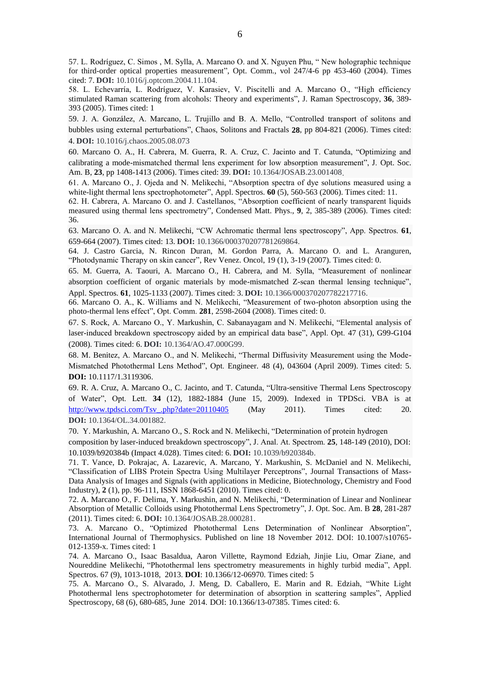57. L. Rodríguez, C. Simos , M. Sylla, A. Marcano O. and X. Nguyen Phu, " New holographic technique for third-order optical properties measurement", Opt. Comm., vol 247/4-6 pp 453-460 (2004). Times cited: 7. **DOI:** 10.1016/j.optcom.2004.11.104.

58. L. Echevarría, L. Rodríguez, V. Karasiev, V. Piscitelli and A. Marcano O., "High efficiency stimulated Raman scattering from alcohols: Theory and experiments", J. Raman Spectroscopy, **36**, 389- 393 (2005). Times cited: 1

59. J. A. González, A. Marcano, L. Trujillo and B. A. Mello, "Controlled transport of solitons and bubbles using external perturbations", Chaos, Solitons and Fractals **28**, pp 804-821 (2006). Times cited: 4. **DOI:** 10.1016/j.chaos.2005.08.073

60. Marcano O. A., H. Cabrera, M. Guerra, R. A. Cruz, C. Jacinto and T. Catunda, "Optimizing and calibrating a mode-mismatched thermal lens experiment for low absorption measurement", J. Opt. Soc. Am. B, **23**, pp 1408-1413 (2006). Times cited: 39. **DOI:** 10.1364/JOSAB.23.001408.

61. A. Marcano O., J. Ojeda and N. Melikechi, "Absorption spectra of dye solutions measured using a white-light thermal lens spectrophotometer", Appl. Spectros. **60** (5), 560-563 (2006). Times cited: 11.

62. H. Cabrera, A. Marcano O. and J. Castellanos, "Absorption coefficient of nearly transparent liquids measured using thermal lens spectrometry", Condensed Matt. Phys., **9**, 2, 385-389 (2006). Times cited: 36.

63. Marcano O. A. and N. Melikechi, "CW Achromatic thermal lens spectroscopy", App. Spectros. **61**, 659-664 (2007). Times cited: 13. **DOI:** 10.1366/000370207781269864.

64. J. Castro Garcia, N. Rincon Duran, M. Gordon Parra, A. Marcano O. and L. Aranguren, "Photodynamic Therapy on skin cancer", Rev Venez. Oncol, 19 (1), 3-19 (2007). Times cited: 0.

65. M. Guerra, A. Taouri, A. Marcano O., H. Cabrera, and M. Sylla, "Measurement of nonlinear absorption coefficient of organic materials by mode-mismatched Z-scan thermal lensing technique", Appl. Spectros. **61**, 1025-1133 (2007). Times cited: 3. **DOI:** 10.1366/000370207782217716.

66. Marcano O. A., K. Williams and N. Melikechi, "Measurement of two-photon absorption using the photo-thermal lens effect", Opt. Comm. **281**, 2598-2604 (2008). Times cited: 0.

67. S. Rock, A. Marcano O., Y. Markushin, C. Sabanayagam and N. Melikechi, "Elemental analysis of laser-induced breakdown spectroscopy aided by an empirical data base", Appl. Opt. 47 (31), G99-G104 (2008). Times cited: 6. **DOI:** 10.1364/AO.47.000G99.

68. M. Benitez, A. Marcano O., and N. Melikechi, "Thermal Diffusivity Measurement using the Mode-Mismatched Photothermal Lens Method", Opt. Engineer. 48 (4), 043604 (April 2009). Times cited: 5. **DOI:** 10.1117/1.3119306.

69. R. A. Cruz, A. Marcano O., C. Jacinto, and T. Catunda, "Ultra-sensitive Thermal Lens Spectroscopy of Water", Opt. Lett. **34** (12), 1882-1884 (June 15, 2009). Indexed in TPDSci. VBA is at [http://www.tpdsci.com/Tsv\\_.php?date=20110405](http://www.tpdsci.com/Tsv_.php?date=20110405) (May 2011). Times cited: 20. **DOI:** 10.1364/OL.34.001882.

70. Y. Markushin, A. Marcano O., S. Rock and N. Melikechi, "Determination of protein hydrogen composition by laser-induced breakdown spectroscopy", J. Anal. At. Spectrom. **25**, 148-149 (2010), DOI: 10.1039/b920384b (Impact 4.028). Times cited: 6. **DOI:** 10.1039/b920384b.

71. T. Vance, D. Pokrajac, A. Lazarevic, A. Marcano, Y. Markushin, S. McDaniel and N. Melikechi, "Classification of LIBS Protein Spectra Using Multilayer Perceptrons", Journal Transactions of Mass-Data Analysis of Images and Signals (with applications in Medicine, Biotechnology, Chemistry and Food Industry), **2** (1), pp. 96-111, ISSN 1868-6451 (2010). Times cited: 0.

72. A. Marcano O., F. Delima, Y. Markushin, and N. Melikechi, "Determination of Linear and Nonlinear Absorption of Metallic Colloids using Photothermal Lens Spectrometry", J. Opt. Soc. Am. B **28**, 281-287 (2011). Times cited: 6. **DOI:** 10.1364/JOSAB.28.000281.

73. A. Marcano O., "Optimized Photothermal Lens Determination of Nonlinear Absorption", International Journal of Thermophysics. Published on line 18 November 2012. DOI: 10.1007/s10765- 012-1359-x. Times cited: 1

74. A. Marcano O., Isaac Basaldua, Aaron Villette, Raymond Edziah, Jinjie Liu, Omar Ziane, and Noureddine Melikechi, "Photothermal lens spectrometry measurements in highly turbid media", Appl. Spectros. 67 (9), 1013-1018, 2013. **DOI**: 10.1366/12-06970. Times cited: 5

75. A. Marcano O., S. Alvarado, J. Meng, D. Caballero, E. Marin and R. Edziah, "White Light Photothermal lens spectrophotometer for determination of absorption in scattering samples", Applied Spectroscopy, 68 (6), 680-685, June 2014. DOI: 10.1366/13-07385. Times cited: 6.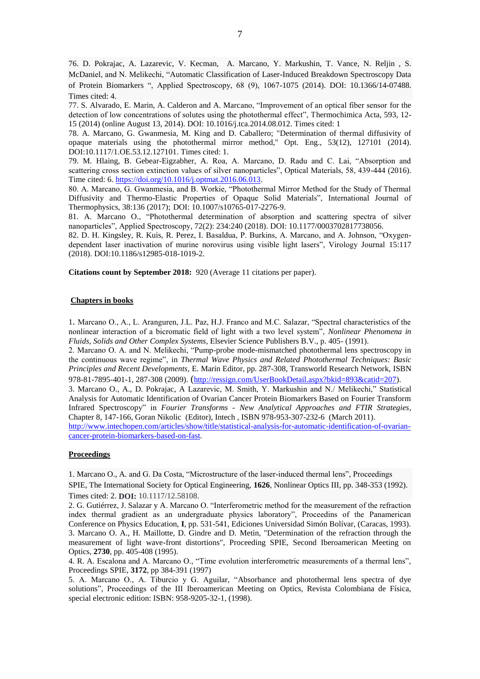76. D. Pokrajac, A. Lazarevic, V. Kecman, A. Marcano, Y. Markushin, T. Vance, N. Reljin , S. McDaniel, and N. Melikechi, "Automatic Classification of Laser-Induced Breakdown Spectroscopy Data of Protein Biomarkers ", Applied Spectroscopy, 68 (9), 1067-1075 (2014). DOI: 10.1366/14-07488. Times cited: 4.

77. S. Alvarado, E. Marin, A. Calderon and A. Marcano, "Improvement of an optical fiber sensor for the detection of low concentrations of solutes using the photothermal effect", Thermochimica Acta, 593, 12- 15 (2014) (online August 13, 2014). DOI: 10.1016/j.tca.2014.08.012. Times cited: 1

78. A. Marcano, G. Gwanmesia, M. King and D. Caballero; "Determination of thermal diffusivity of opaque materials using the photothermal mirror method," Opt. Eng., 53(12), 127101 (2014). DOI:10.1117/1.OE.53.12.127101. Times cited: 1.

79. M. Hlaing, B. Gebear-Eigzabher, A. Roa, A. Marcano, D. Radu and C. Lai, "Absorption and scattering cross section extinction values of silver nanoparticles", Optical Materials, 58, 439-444 (2016). Time cited: 6. [https://doi.org/10.1016/j.optmat.2016.06.013.](https://doi.org/10.1016/j.optmat.2016.06.013)

80. A. Marcano, G. Gwanmesia, and B. Workie, "Photothermal Mirror Method for the Study of Thermal Diffusivity and Thermo-Elastic Properties of Opaque Solid Materials", International Journal of Thermophysics, 38:136 (2017); DOI: 10.1007/s10765-017-2276-9.

81. A. Marcano O., "Photothermal determination of absorption and scattering spectra of silver nanoparticles", Applied Spectroscopy, 72(2): 234:240 (2018). DOI: 10.1177/0003702817738056.

82. D. H. Kingsley, R. Kuis, R. Perez, I. Basaldua, P. Burkins, A. Marcano, and A. Johnson, "Oxygendependent laser inactivation of murine norovirus using visible light lasers", Virology Journal 15:117 (2018). DOI:10.1186/s12985-018-1019-2.

**Citations count by September 2018:** 920 (Average 11 citations per paper).

### **Chapters in books**

1. Marcano O., A., L. Aranguren, J.L. Paz, H.J. Franco and M.C. Salazar, "Spectral characteristics of the nonlinear interaction of a bicromatic field of light with a two level system", *Nonlinear Phenomena in Fluids, Solids and Other Complex Systems*, Elsevier Science Publishers B.V., p. 405- (1991).

2. Marcano O. A. and N. Melikechi, "Pump-probe mode-mismatched photothermal lens spectroscopy in the continuous wave regime", in *Thermal Wave Physics and Related Photothermal Techniques: Basic Principles and Recent Developments*, E. Marin Editor, pp. 287-308, Transworld Research Network, ISBN 978-81-7895-401-1, 287-308 (2009). ([http://ressign.com/UserBookDetail.aspx?bkid=893&catid=207\)](http://ressign.com/UserBookDetail.aspx?bkid=893&catid=207).

3. Marcano O., A., D. Pokrajac, A Lazarevic, M. Smith, Y. Markushin and N./ Melikechi," Statistical Analysis for Automatic Identification of Ovarian Cancer Protein Biomarkers Based on Fourier Transform Infrared Spectroscopy" in *Fourier Transforms - New Analytical Approaches and FTIR Strategies*, Chapter 8, 147-166, Goran Nikolic (Editor), Intech , ISBN 978-953-307-232-6 (March 2011). [http://www.intechopen.com/articles/show/title/statistical-analysis-for-automatic-identification-of-ovarian-](http://www.intechopen.com/articles/show/title/statistical-analysis-for-automatic-identification-of-ovarian-cancer-protein-biomarkers-based-on-fast)

[cancer-protein-biomarkers-based-on-fast.](http://www.intechopen.com/articles/show/title/statistical-analysis-for-automatic-identification-of-ovarian-cancer-protein-biomarkers-based-on-fast) 

### **Proceedings**

1. Marcano O., A. and G. Da Costa, "Microstructure of the laser-induced thermal lens", Proceedings SPIE, The International Society for Optical Engineering, **1626**, Nonlinear Optics III, pp. 348-353 (1992). Times cited: 2. **DOI:** 10.1117/12.58108.

2. G. Gutiérrez, J. Salazar y A. Marcano O. "Interferometric method for the measurement of the refraction index thermal gradient as an undergraduate physics laboratory", Proceedins of the Panamerican Conference on Physics Education, **I**, pp. 531-541, Ediciones Universidad Simón Bolívar, (Caracas, 1993). 3. Marcano O. A., H. Maillotte, D. Gindre and D. Metin, "Determination of the refraction through the measurement of light wave-front distortions", Proceeding SPIE, Second Iberoamerican Meeting on Optics, **2730**, pp. 405-408 (1995).

4. R. A. Escalona and A. Marcano O., "Time evolution interferometric measurements of a thermal lens", Proceedings SPIE, **3172**, pp 384-391 (1997)

5. A. Marcano O., A. Tiburcio y G. Aguilar, "Absorbance and photothermal lens spectra of dye solutions", Proceedings of the III Iberoamerican Meeting on Optics, Revista Colombiana de Física, special electronic edition: ISBN: 958-9205-32-1, (1998).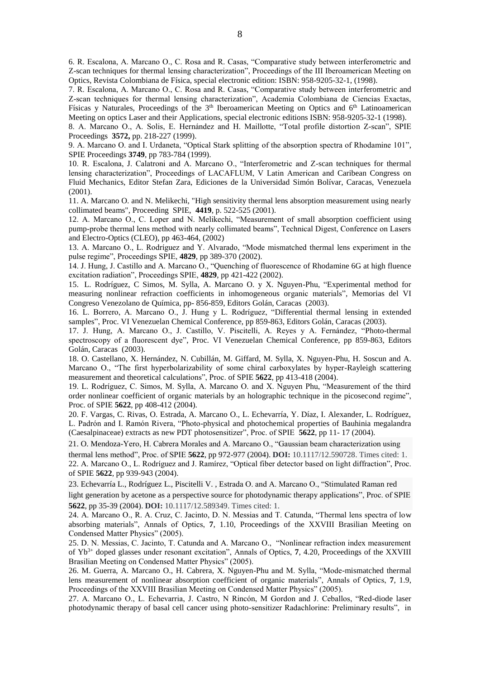6. R. Escalona, A. Marcano O., C. Rosa and R. Casas, "Comparative study between interferometric and Z-scan techniques for thermal lensing characterization", Proceedings of the III Iberoamerican Meeting on Optics, Revista Colombiana de Física, special electronic edition: ISBN: 958-9205-32-1, (1998).

7. R. Escalona, A. Marcano O., C. Rosa and R. Casas, "Comparative study between interferometric and Z-scan techniques for thermal lensing characterization", Academia Colombiana de Ciencias Exactas, Físicas y Naturales, Proceedings of the  $3<sup>th</sup>$  Iberoamerican Meeting on Optics and  $6<sup>th</sup>$  Latinoamerican Meeting on optics Laser and their Applications, special electronic editions ISBN: 958-9205-32-1 (1998).

8. A. Marcano O., A. Solis, E. Hernández and H. Maillotte, "Total profile distortion Z-scan", SPIE Proceedings **3572,** pp. 218-227 (1999).

9. A. Marcano O. and I. Urdaneta, "Optical Stark splitting of the absorption spectra of Rhodamine 101", SPIE Proceedings **3749**, pp 783-784 (1999).

10. R. Escalona, J. Calatroni and A. Marcano O., "Interferometric and Z-scan techniques for thermal lensing characterization", Proceedings of LACAFLUM, V Latin American and Caribean Congress on Fluid Mechanics, Editor Stefan Zara, Ediciones de la Universidad Simón Bolívar, Caracas, Venezuela (2001).

11. A. Marcano O. and N. Melikechi, "High sensitivity thermal lens absorption measurement using nearly collimated beams", Proceeding SPIE, **4419**, p. 522-525 (2001).

12. A. Marcano O., C. Loper and N. Melikechi, "Measurement of small absorption coefficient using pump-probe thermal lens method with nearly collimated beams", Technical Digest, Conference on Lasers and Electro-Optics (CLEO), pp 463-464, (2002)

13. A. Marcano O., L. Rodríguez and Y. Alvarado, "Mode mismatched thermal lens experiment in the pulse regime", Proceedings SPIE, **4829**, pp 389-370 (2002).

14. J. Hung, J. Castillo and A. Marcano O., "Quenching of fluorescence of Rhodamine 6G at high fluence excitation radiation", Proceedings SPIE, **4829**, pp 421-422 (2002).

15. L. Rodríguez, C Simos, M. Sylla, A. Marcano O. y X. Nguyen-Phu, "Experimental method for measuring nonlinear refraction coefficients in inhomogeneous organic materials", Memorias del VI Congreso Venezolano de Química, pp- 856-859, Editors Golán, Caracas (2003).

16. L. Borrero, A. Marcano O., J. Hung y L. Rodríguez, "Differential thermal lensing in extended samples", Proc. VI Venezuelan Chemical Conference, pp 859-863, Editors Golán, Caracas (2003).

17. J. Hung, A. Marcano O., J. Castillo, V. Piscitelli, A. Reyes y A. Fernández, "Photo-thermal spectroscopy of a fluorescent dye", Proc. VI Venezuelan Chemical Conference, pp 859-863, Editors Golán, Caracas (2003).

18. O. Castellano, X. Hernández, N. Cubillán, M. Giffard, M. Sylla, X. Nguyen-Phu, H. Soscun and A. Marcano O., "The first hyperbolarizability of some chiral carboxylates by hyper-Rayleigh scattering measurement and theoretical calculations", Proc. of SPIE **5622**, pp 413-418 (2004).

19. L. Rodríguez, C. Simos, M. Sylla, A. Marcano O. and X. Nguyen Phu, "Measurement of the third order nonlinear coefficient of organic materials by an holographic technique in the picosecond regime", Proc. of SPIE **5622**, pp 408-412 (2004).

20. F. Vargas, C. Rivas, O. Estrada, A. Marcano O., L. Echevarría, Y. Díaz, I. Alexander, L. Rodríguez, L. Padrón and I. Ramón Rivera, "Photo-physical and photochemical properties of Bauhinia megalandra (Caesalpinaceae) extracts as new PDT photosensitizer", Proc. of SPIE **5622**, pp 11- 17 (2004).

21. O. Mendoza-Yero, H. Cabrera Morales and A. Marcano O., "Gaussian beam characterization using

thermal lens method", Proc. of SPIE **5622**, pp 972-977 (2004). **DOI:** 10.1117/12.590728. Times cited: 1.

22. A. Marcano O., L. Rodríguez and J. Ramírez, "Optical fiber detector based on light diffraction", Proc. of SPIE **5622**, pp 939-943 (2004).

23. Echevarría L., Rodríguez L., Piscitelli V. , Estrada O. and A. Marcano O., "Stimulated Raman red

light generation by acetone as a perspective source for photodynamic therapy applications", Proc. of SPIE **5622**, pp 35-39 (2004). **DOI:** 10.1117/12.589349. Times cited: 1.

24. A. Marcano O., R. A. Cruz, C. Jacinto, D. N. Messias and T. Catunda, "Thermal lens spectra of low absorbing materials", Annals of Optics, **7**, 1.10, Proceedings of the XXVIII Brasilian Meeting on Condensed Matter Physics" (2005).

25. D. N. Messias, C. Jacinto, T. Catunda and A. Marcano O., "Nonlinear refraction index measurement of Yb3+ doped glasses under resonant excitation", Annals of Optics, **7**, 4.20, Proceedings of the XXVIII Brasilian Meeting on Condensed Matter Physics" (2005).

26. M. Guerra, A. Marcano O., H. Cabrera, X. Nguyen-Phu and M. Sylla, "Mode-mismatched thermal lens measurement of nonlinear absorption coefficient of organic materials", Annals of Optics, **7**, 1.9, Proceedings of the XXVIII Brasilian Meeting on Condensed Matter Physics" (2005).

27. A. Marcano O., L. Echevarria, J. Castro, N Rincón, M Gordon and J. Ceballos, "Red-diode laser photodynamic therapy of basal cell cancer using photo-sensitizer Radachlorine: Preliminary results", in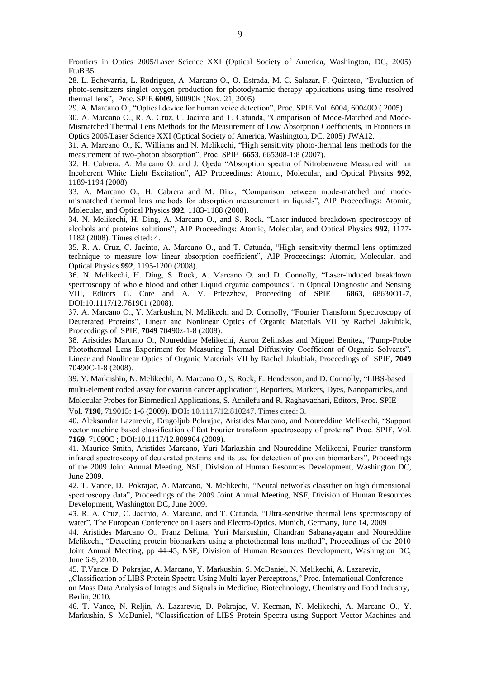Frontiers in Optics 2005/Laser Science XXI (Optical Society of America, Washington, DC, 2005) FtuBB5.

28. L. Echevarria, L. Rodriguez, A. Marcano O., O. Estrada, M. C. Salazar, F. Quintero, "Evaluation of photo-sensitizers singlet oxygen production for photodynamic therapy applications using time resolved thermal lens", Proc. SPIE **6009**, 60090K (Nov. 21, 2005)

29. A. Marcano O., "Optical device for human voice detection", Proc. SPIE Vol. 6004, 60040O ( 2005)

30. A. Marcano O., R. A. Cruz, C. Jacinto and T. Catunda, "Comparison of Mode-Matched and Mode-Mismatched Thermal Lens Methods for the Measurement of Low Absorption Coefficients, in Frontiers in Optics 2005/Laser Science XXI (Optical Society of America, Washington, DC, 2005) JWA12.

31. A. Marcano O., K. Williams and N. Melikechi, "High sensitivity photo-thermal lens methods for the measurement of two-photon absorption", Proc. SPIE **6653**, 665308-1:8 (2007).

32. H. Cabrera, A. Marcano O. and J. Ojeda "Absorption spectra of Nitrobenzene Measured with an Incoherent White Light Excitation", AIP Proceedings: Atomic, Molecular, and Optical Physics **992**, 1189-1194 (2008).

33. A. Marcano O., H. Cabrera and M. Diaz, "Comparison between mode-matched and modemismatched thermal lens methods for absorption measurement in liquids", AIP Proceedings: Atomic, Molecular, and Optical Physics **992**, 1183-1188 (2008).

34. N. Melikechi, H. Ding, A. Marcano O., and S. Rock, "Laser-induced breakdown spectroscopy of alcohols and proteins solutions", AIP Proceedings: Atomic, Molecular, and Optical Physics **992**, 1177- 1182 (2008). Times cited: 4.

35. R. A. Cruz, C. Jacinto, A. Marcano O., and T. Catunda, "High sensitivity thermal lens optimized technique to measure low linear absorption coefficient", AIP Proceedings: Atomic, Molecular, and Optical Physics **992**, 1195-1200 (2008).

36. N. Melikechi, H. Ding, S. Rock, A. Marcano O. and D. Connolly, "Laser-induced breakdown spectroscopy of whole blood and other Liquid organic compounds", in Optical Diagnostic and Sensing VIII, Editors G. Cote and A. V. Priezzhev, Proceeding of SPIE **6863**, 68630O1-7, DOI:10.1117/12.761901 (2008).

37. A. Marcano O., Y. Markushin, N. Melikechi and D. Connolly, "Fourier Transform Spectroscopy of Deuterated Proteins", Linear and Nonlinear Optics of Organic Materials VII by Rachel Jakubiak, Proceedings of SPIE, **7049** 70490z-1-8 (2008).

38. Aristides Marcano O., Noureddine Melikechi, Aaron Zelinskas and Miguel Benitez, "Pump-Probe Photothermal Lens Experiment for Measuring Thermal Diffusivity Coefficient of Organic Solvents", Linear and Nonlinear Optics of Organic Materials VII by Rachel Jakubiak, Proceedings of SPIE, **7049** 70490C-1-8 (2008).

39. [Y. Markushin,](http://spiedigitallibrary.aip.org/vsearch/servlet/VerityServlet?KEY=SPIEDL&possible1=Markushin%2C+Y.&possible1zone=author&maxdisp=25&smode=strresults&&bproc=symp&scode=PW09B&aqs=true) [N. Melikechi,](http://spiedigitallibrary.aip.org/vsearch/servlet/VerityServlet?KEY=SPIEDL&possible1=Melikechi%2C+N.&possible1zone=author&maxdisp=25&smode=strresults&&bproc=symp&scode=PW09B&aqs=true) [A. Marcano O.,](http://spiedigitallibrary.aip.org/vsearch/servlet/VerityServlet?KEY=SPIEDL&possible1=O.%2C+A.+Marcano&possible1zone=author&maxdisp=25&smode=strresults&&bproc=symp&scode=PW09B&aqs=true) [S. Rock,](http://spiedigitallibrary.aip.org/vsearch/servlet/VerityServlet?KEY=SPIEDL&possible1=Rock%2C+S.&possible1zone=author&maxdisp=25&smode=strresults&&bproc=symp&scode=PW09B&aqs=true) [E. Henderson,](http://spiedigitallibrary.aip.org/vsearch/servlet/VerityServlet?KEY=SPIEDL&possible1=Henderson%2C+E.&possible1zone=author&maxdisp=25&smode=strresults&&bproc=symp&scode=PW09B&aqs=true) and [D. Connolly,](http://spiedigitallibrary.aip.org/vsearch/servlet/VerityServlet?KEY=SPIEDL&possible1=Connolly%2C+D.&possible1zone=author&maxdisp=25&smode=strresults&&bproc=symp&scode=PW09B&aqs=true) "LIBS-based multi-element coded assay for ovarian cancer application", Reporters, Markers, Dyes, Nanoparticles, and

Molecular Probes for Biomedical Applications, S. Achilefu and R. Raghavachari, Editors, Proc. SPIE

Vol. **7190**, 719015: 1-6 (2009). **DOI:** 10.1117/12.810247. Times cited: 3.

40. [Aleksandar Lazarevic,](http://spiedigitallibrary.aip.org/vsearch/servlet/VerityServlet?KEY=SPIEDL&possible1=Lazarevic%2C+Aleksandar&possible1zone=author&maxdisp=25&smode=strresults&aqs=true) [Dragoljub Pokrajac,](http://spiedigitallibrary.aip.org/vsearch/servlet/VerityServlet?KEY=SPIEDL&possible1=Pokrajac%2C+Dragoljub&possible1zone=author&maxdisp=25&smode=strresults&aqs=true) [Aristides Marcano,](http://spiedigitallibrary.aip.org/vsearch/servlet/VerityServlet?KEY=SPIEDL&possible1=Marcano%2C+Aristides&possible1zone=author&maxdisp=25&smode=strresults&aqs=true) and [Noureddine Melikechi,](http://spiedigitallibrary.aip.org/vsearch/servlet/VerityServlet?KEY=SPIEDL&possible1=Melikechi%2C+Noureddine&possible1zone=author&maxdisp=25&smode=strresults&aqs=true) "Support vector machine based classification of fast Fourier transform spectroscopy of proteins" Proc. SPIE, Vol. **7169**, 71690C ; DOI:10.1117/12.809964 (2009).

41. Maurice Smith, Aristides Marcano, Yuri Markushin and Noureddine Melikechi, Fourier transform infrared spectroscopy of deuterated proteins and its use for detection of protein biomarkers", Proceedings of the 2009 Joint Annual Meeting, NSF, Division of Human Resources Development, Washington DC, June 2009.

42. T. Vance, D. Pokrajac, A. Marcano, N. Melikechi, "Neural networks classifier on high dimensional spectroscopy data", Proceedings of the 2009 Joint Annual Meeting, NSF, Division of Human Resources Development, Washington DC, June 2009.

43. R. A. Cruz, C. Jacinto, A. Marcano, and T. Catunda, "Ultra-sensitive thermal lens spectroscopy of water", The European Conference on Lasers and Electro-Optics, Munich, Germany, June 14, 2009

44. Aristides Marcano O., Franz Delima, Yuri Markushin, Chandran Sabanayagam and Noureddine Melikechi, "Detecting protein biomarkers using a photothermal lens method", Proceedings of the 2010 Joint Annual Meeting, pp 44-45, NSF, Division of Human Resources Development, Washington DC, June 6-9, 2010.

45. T.Vance, D. Pokrajac, A. Marcano, Y. Markushin, S. McDaniel, N. Melikechi, A. Lazarevic,

"Classification of LIBS Protein Spectra Using Multi-layer Perceptrons," Proc. International Conference on Mass Data Analysis of Images and Signals in Medicine, Biotechnology, Chemistry and Food Industry, Berlin, 2010.

46. T. Vance, N. Reljin, A. Lazarevic, D. Pokrajac, V. Kecman, N. Melikechi, A. Marcano O., Y. Markushin, S. McDaniel, "Classification of LIBS Protein Spectra using Support Vector Machines and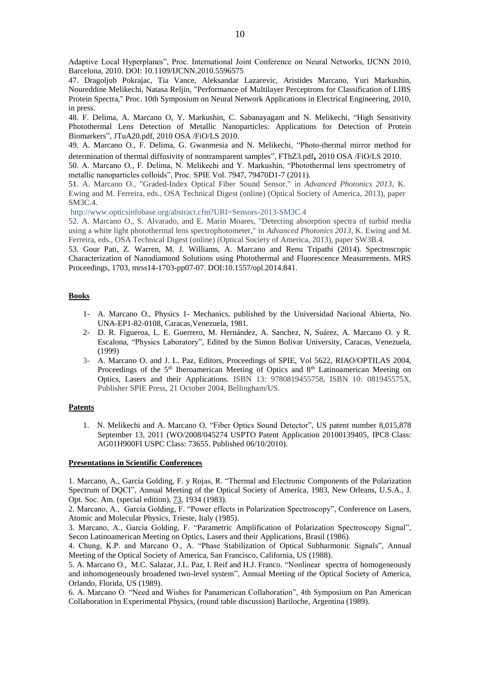Adaptive Local Hyperplanes", Proc. International Joint Conference on Neural Networks, IJCNN 2010, Barcelona, 2010. DOI: 10.1109/IJCNN.2010.5596575

47. Dragoljub Pokrajac, Tia Vance, Aleksandar Lazarevic, Aristides Marcano, Yuri Markushin, Noureddine Melikechi, Natasa Reljin, "Performance of Multilayer Perceptrons for Classification of LIBS Protein Spectra," Proc. 10th Symposium on Neural Network Applications in Electrical Engineering, 2010, in press.

48. F. Delima, A. Marcano O, Y. Markushin, C. Sabanayagam and N. Melikechi, "High Sensitivity Photothermal Lens Detection of Metallic Nanoparticles: Applications for Detection of Protein Biomarkers", JTuA20.pdf, 2010 OSA /FiO/LS 2010.

49. A. Marcano O., F. Delima, G. Gwanmesia and N. Melikechi, "Photo-thermal mirror method for determination of thermal diffusivity of nontransparent samples", FThZ3.pdf**,** 2010 OSA /FiO/LS 2010.

50. A. Marcano O., F. Delima, N. Melikechi and Y. Markushin, "Photothermal lens spectrometry of metallic nanoparticles colloids", Proc. SPIE Vol. 7947, 79470D1-7 (2011).

51. A. Marcano O., "Graded-Index Optical Fiber Sound Sensor," in *Advanced Photonics 2013*, K. Ewing and M. Ferreira, eds., OSA Technical Digest (online) (Optical Society of America, 2013), paper SM3C.4.

<http://www.opticsinfobase.org/abstract.cfm?URI=Sensors-2013-SM3C.4>

52. A. Marcano O., S. Alvarado, and E. Marin Moares, "Detecting absorption spectra of turbid media using a white light photothermal lens spectrophotometer," in *Advanced Photonics 2013*, K. Ewing and M. Ferreira, eds., OSA Technical Digest (online) (Optical Society of America, 2013), paper SW3B.4.

53. Gour Pati, Z. Warren, M. J. Williams, A. Marcano and Renu Tripathi (2014). Spectroscopic Characterization of Nanodiamond Solutions using Photothermal and Fluorescence Measurements. MRS Proceedings, 1703, mrss14-1703-pp07-07. DOI:10.1557/opl.2014.841.

### **Books**

- 1- A. Marcano O., Physics 1- Mechanics, published by the Universidad Nacional Abierta, No. UNA-EP1-82-0108, Caracas,Venezuela, 1981.
- 2- D. R. Figueroa, L. E. Guerrero, M. Hernández, A. Sanchez, N, Suárez, A. Marcano O. y R. Escalona, "Physics Laboratory", Edited by the Simon Bolivar University, Caracas, Venezuela, (1999)
- 3- A. Marcano O. and J. L. Paz, Editors, Proceedings of SPIE, Vol 5622, RIAO/OPTILAS 2004, Proceedings of the 5<sup>th</sup> Iberoamerican Meeting of Optics and 8<sup>th</sup> Latinoamerican Meeting on Optics, Lasers and their Applications. ISBN 13: 9780819455758, ISBN 10: 081945575X, Publisher SPIE Press, 21 October 2004, Bellingham/US.

#### **Patents**

1. N. Melikechi and A. Marcano O. "Fiber Optics Sound Detector", US patent number 8,015,878 September 13, 2011 (WO/2008/045274 USPTO Patent Application 20100139405, IPC8 Class: AG01H900FI USPC Class: 73655. Published 06/10/2010).

### **Presentations in Scientific Conferences**

1. Marcano, A., García Golding, F. y Rojas, R. "Thermal and Electronic Components of the Polarization Spectrum of DQCI", Annual Meeting of the Optical Society of America, 1983, New Orleans, U.S.A., J. Opt. Soc. Am. (special edition), 73, 1934 (1983).

2. Marcano, A., García Golding, F. "Power effects in Polarization Spectroscopy", Conference on Lasers, Atomic and Molecular Physics, Trieste, Italy (1985).

3. Marcano, A., García Golding, F. "Parametric Amplification of Polarization Spectroscopy Signal", Secon Latinoamerican Meeting on Optics, Lasers and their Applications, Brasil (1986).

4. Chung, K.P. and Marcano O., A. "Phase Stabilization of Optical Subharmonic Signals", Annual Meeting of the Optical Society of America, San Francisco, California, US (1988).

5. A. Marcano O., M.C. Salazar, J.L. Paz, I. Reif and H.J. Franco. "Nonlinear spectra of homogeneously and inhomogeneously broadened two-level system", Annual Meeting of the Optical Society of America, Orlando, Florida, US (1989).

6. A. Marcano O. "Need and Wishes for Panamerican Collaboration", 4th Symposium on Pan American Collaboration in Experimental Physics, (round table discussion) Bariloche, Argentina (1989).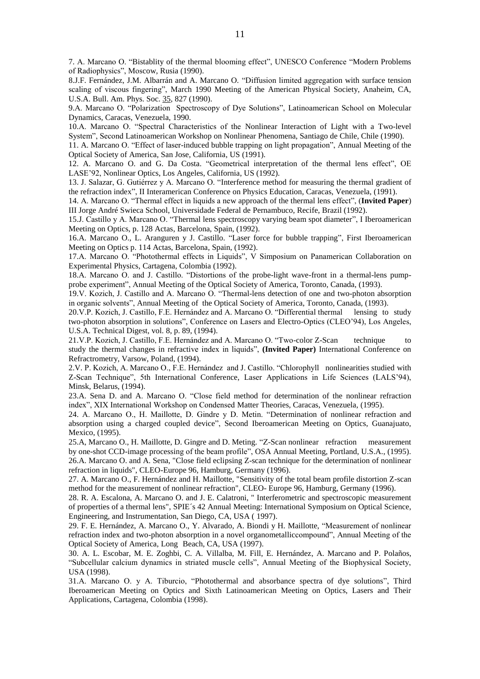7. A. Marcano O. "Bistablity of the thermal blooming effect", UNESCO Conference "Modern Problems of Radiophysics", Moscow, Rusia (1990).

8.J.F. Fernández, J.M. Albarrán and A. Marcano O. "Diffusion limited aggregation with surface tension scaling of viscous fingering", March 1990 Meeting of the American Physical Society, Anaheim, CA, U.S.A. Bull. Am. Phys. Soc. 35, 827 (1990).

9.A. Marcano O. "Polarization Spectroscopy of Dye Solutions", Latinoamerican School on Molecular Dynamics, Caracas, Venezuela, 1990.

10.A. Marcano O. "Spectral Characteristics of the Nonlinear Interaction of Light with a Two-level System", Second Latinoamerican Workshop on Nonlinear Phenomena, Santiago de Chile, Chile (1990).

11. A. Marcano O. "Effect of laser-induced bubble trapping on light propagation", Annual Meeting of the Optical Society of America, San Jose, California, US (1991).

12. A. Marcano O. and G. Da Costa. "Geometrical interpretation of the thermal lens effect", OE LASE'92, Nonlinear Optics, Los Angeles, California, US (1992).

13. J. Salazar, G. Gutiérrez y A. Marcano O. "Interference method for measuring the thermal gradient of the refraction index", II Interamerican Conference on Physics Education, Caracas, Venezuela, (1991).

14. A. Marcano O. "Thermal effect in liquids a new approach of the thermal lens effect", (**Invited Paper**) III Jorge André Swieca School, Universidade Federal de Pernambuco, Recife, Brazil (1992).

15.J. Castillo y A. Marcano O. "Thermal lens spectroscopy varying beam spot diameter", I Iberoamerican Meeting on Optics, p. 128 Actas, Barcelona, Spain, (1992).

16.A. Marcano O., L. Aranguren y J. Castillo. "Laser force for bubble trapping", First Iberoamerican Meeting on Optics p. 114 Actas, Barcelona, Spain, (1992).

17.A. Marcano O. "Photothermal effects in Liquids", V Simposium on Panamerican Collaboration on Experimental Physics, Cartagena, Colombia (1992).

18.A. Marcano O. and J. Castillo. "Distortions of the probe-light wave-front in a thermal-lens pumpprobe experiment", Annual Meeting of the Optical Society of America, Toronto, Canada, (1993).

19.V. Kozich, J. Castillo and A. Marcano O. "Thermal-lens detection of one and two-photon absorption in organic solvents", Annual Meeting of the Optical Society of America, Toronto, Canada, (1993).

20.V.P. Kozich, J. Castillo, F.E. Hernández and A. Marcano O. "Differential thermal lensing to study two-photon absorption in solutions", Conference on Lasers and Electro-Optics (CLEO'94), Los Angeles, U.S.A. Technical Digest, vol. 8, p. 89, (1994).

21.V.P. Kozich, J. Castillo, F.E. Hernández and A. Marcano O. "Two-color Z-Scan technique to study the thermal changes in refractive index in liquids", **(Invited Paper)** International Conference on Refractrometry, Varsow, Poland, (1994).

2.V. P. Kozich, A. Marcano O., F.E. Hernández and J. Castillo. "Chlorophyll nonlinearities studied with Z-Scan Technique", 5th International Conference, Laser Applications in Life Sciences (LALS'94), Minsk, Belarus, (1994).

23.A. Sena D. and A. Marcano O. "Close field method for determination of the nonlinear refraction index", XIX International Workshop on Condensed Matter Theories, Caracas, Venezuela, (1995).

24. A. Marcano O., H. Maillotte, D. Gindre y D. Metin. "Determination of nonlinear refraction and absorption using a charged coupled device", Second Iberoamerican Meeting on Optics, Guanajuato, Mexico, (1995).

25.A, Marcano O., H. Maillotte, D. Gingre and D. Meting. "Z-Scan nonlinear refraction measurement by one-shot CCD-image processing of the beam profile", OSA Annual Meeting, Portland, U.S.A., (1995). 26.A. Marcano O. and A. Sena, "Close field eclipsing Z-scan technique for the determination of nonlinear refraction in liquids", CLEO-Europe 96, Hamburg, Germany (1996).

27. A. Marcano O., F. Hernández and H. Maillotte, "Sensitivity of the total beam profile distortion Z-scan method for the measurement of nonlinear refraction", CLEO- Europe 96, Hamburg, Germany (1996).

28. R. A. Escalona, A. Marcano O. and J. E. Calatroni, " Interferometric and spectroscopic measurement of properties of a thermal lens", SPIE´s 42 Annual Meeting: International Symposium on Optical Science, Engineering, and Instrumentation, San Diego, CA, USA ( 1997).

29. F. E. Hernández, A. Marcano O., Y. Alvarado, A. Biondi y H. Maillotte, "Measurement of nonlinear refraction index and two-photon absorption in a novel organometalliccompound", Annual Meeting of the Optical Society of America, Long Beach, CA, USA (1997).

30. A. L. Escobar, M. E. Zoghbi, C. A. Villalba, M. Fill, E. Hernández, A. Marcano and P. Polaños, "Subcellular calcium dynamics in striated muscle cells", Annual Meeting of the Biophysical Society, USA (1998).

31.A. Marcano O. y A. Tiburcio, "Photothermal and absorbance spectra of dye solutions", Third Iberoamerican Meeting on Optics and Sixth Latinoamerican Meeting on Optics, Lasers and Their Applications, Cartagena, Colombia (1998).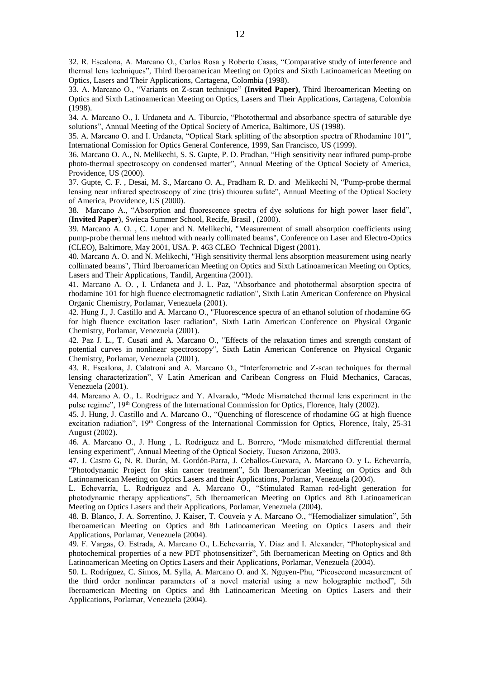32. R. Escalona, A. Marcano O., Carlos Rosa y Roberto Casas, "Comparative study of interference and thermal lens techniques", Third Iberoamerican Meeting on Optics and Sixth Latinoamerican Meeting on Optics, Lasers and Their Applications, Cartagena, Colombia (1998).

33. A. Marcano O., "Variants on Z-scan technique" **(Invited Paper)**, Third Iberoamerican Meeting on Optics and Sixth Latinoamerican Meeting on Optics, Lasers and Their Applications, Cartagena, Colombia (1998).

34. A. Marcano O., I. Urdaneta and A. Tiburcio, "Photothermal and absorbance spectra of saturable dye solutions", Annual Meeting of the Optical Society of America, Baltimore, US (1998).

35. A. Marcano O. and I. Urdaneta, "Optical Stark splitting of the absorption spectra of Rhodamine 101", International Comission for Optics General Conference, 1999, San Francisco, US (1999).

36. Marcano O. A., N. Melikechi, S. S. Gupte, P. D. Pradhan, "High sensitivity near infrared pump-probe photo-thermal spectroscopy on condensed matter", Annual Meeting of the Optical Society of America, Providence, US (2000).

37. Gupte, C. F. , Desai, M. S., Marcano O. A., Pradham R. D. and Melikechi N, "Pump-probe thermal lensing near infrared spectroscopy of zinc (tris) thiourea sufate", Annual Meeting of the Optical Society of America, Providence, US (2000).

38. Marcano A., "Absorption and fluorescence spectra of dye solutions for high power laser field", (**Invited Paper**), Swieca Summer School, Recife, Brasil , (2000).

39. Marcano A. O. , C. Loper and N. Melikechi, "Measurement of small absorption coefficients using pump-probe thermal lens mehtod with nearly collimated beams", Conference on Laser and Electro-Optics (CLEO), Baltimore, May 2001, USA. P. 463 CLEO Technical Digest (2001).

40. Marcano A. O. and N. Melikechi, "High sensitivity thermal lens absorption measurement using nearly collimated beams", Third Iberoamerican Meeting on Optics and Sixth Latinoamerican Meeting on Optics, Lasers and Their Applications, Tandil, Argentina (2001).

41. Marcano A. O. , I. Urdaneta and J. L. Paz, "Absorbance and photothermal absorption spectra of rhodamine 101 for high fluence electromagnetic radiation", Sixth Latin American Conference on Physical Organic Chemistry, Porlamar, Venezuela (2001).

42. Hung J., J. Castillo and A. Marcano O., "Fluorescence spectra of an ethanol solution of rhodamine 6G for high fluence excitation laser radiation", Sixth Latin American Conference on Physical Organic Chemistry, Porlamar, Venezuela (2001).

42. Paz J. L., T. Cusati and A. Marcano O., "Effects of the relaxation times and strength constant of potential curves in nonlinear spectroscopy", Sixth Latin American Conference on Physical Organic Chemistry, Porlamar, Venezuela (2001).

43. R. Escalona, J. Calatroni and A. Marcano O., "Interferometric and Z-scan techniques for thermal lensing characterization", V Latin American and Caribean Congress on Fluid Mechanics, Caracas, Venezuela (2001).

44. Marcano A. O., L. Rodríguez and Y. Alvarado, "Mode Mismatched thermal lens experiment in the pulse regime", 19th Congress of the International Commission for Optics, Florence, Italy (2002).

45. J. Hung, J. Castillo and A. Marcano O., "Quenching of florescence of rhodamine 6G at high fluence excitation radiation", 19th Congress of the International Commission for Optics, Florence, Italy, 25-31 August (2002).

46. A. Marcano O., J. Hung , L. Rodríguez and L. Borrero, "Mode mismatched differential thermal lensing experiment", Annual Meeting of the Optical Society, Tucson Arizona, 2003.

47. J. Castro G, N. R. Durán, M. Gordón-Parra, J. Ceballos-Guevara, A. Marcano O. y L. Echevarría, "Photodynamic Project for skin cancer treatment", 5th Iberoamerican Meeting on Optics and 8th Latinoamerican Meeting on Optics Lasers and their Applications, Porlamar, Venezuela (2004).

L. Echevarría, L. Rodríguez and A. Marcano O., "Stimulated Raman red-light generation for photodynamic therapy applications", 5th Iberoamerican Meeting on Optics and 8th Latinoamerican Meeting on Optics Lasers and their Applications, Porlamar, Venezuela (2004).

48. B. Blanco, J. A. Sorrentino, J. Kaiser, T. Couveia y A. Marcano O., "Hemodializer simulation", 5th Iberoamerican Meeting on Optics and 8th Latinoamerican Meeting on Optics Lasers and their Applications, Porlamar, Venezuela (2004).

49. F. Vargas, O. Estrada, A. Marcano O., L.Echevarría, Y. Díaz and I. Alexander, "Photophysical and photochemical properties of a new PDT photosensitizer", 5th Iberoamerican Meeting on Optics and 8th Latinoamerican Meeting on Optics Lasers and their Applications, Porlamar, Venezuela (2004).

50. L. Rodríguez, C. Simos, M. Sylla, A. Marcano O. and X. Nguyen-Phu, "Picosecond measurement of the third order nonlinear parameters of a novel material using a new holographic method", 5th Iberoamerican Meeting on Optics and 8th Latinoamerican Meeting on Optics Lasers and their Applications, Porlamar, Venezuela (2004).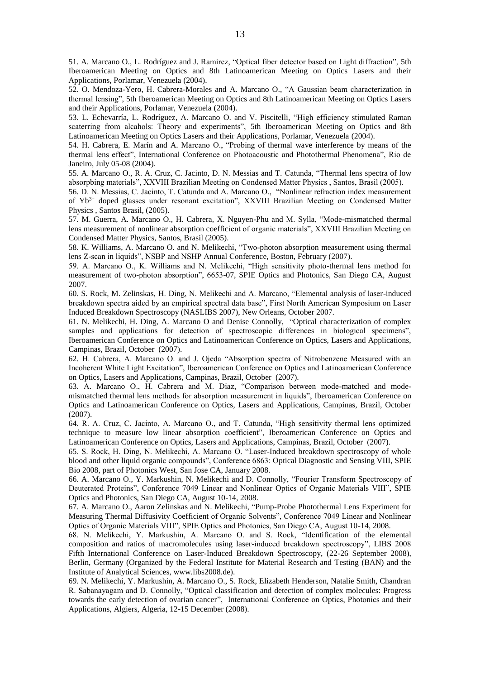51. A. Marcano O., L. Rodríguez and J. Ramírez, "Optical fiber detector based on Light diffraction", 5th Iberoamerican Meeting on Optics and 8th Latinoamerican Meeting on Optics Lasers and their Applications, Porlamar, Venezuela (2004).

52. O. Mendoza-Yero, H. Cabrera-Morales and A. Marcano O., "A Gaussian beam characterization in thermal lensing", 5th Iberoamerican Meeting on Optics and 8th Latinoamerican Meeting on Optics Lasers and their Applications, Porlamar, Venezuela (2004).

53. L. Echevarría, L. Rodríguez, A. Marcano O. and V. Piscitelli, "High efficiency stimulated Raman scaterring from alcahols: Theory and experiments", 5th Iberoamerican Meeting on Optics and 8th Latinoamerican Meeting on Optics Lasers and their Applications, Porlamar, Venezuela (2004).

54. H. Cabrera, E. Marín and A. Marcano O., "Probing of thermal wave interference by means of the thermal lens effect", International Conference on Photoacoustic and Photothermal Phenomena", Rio de Janeiro, July 05-08 (2004).

55. A. Marcano O., R. A. Cruz, C. Jacinto, D. N. Messias and T. Catunda, "Thermal lens spectra of low absorpbing materials", XXVIII Brazilian Meeting on Condensed Matter Physics , Santos, Brasil (2005).

56. D. N. Messias, C. Jacinto, T. Catunda and A. Marcano O., "Nonlinear refraction index measurement of Yb3+ doped glasses under resonant excitation", XXVIII Brazilian Meeting on Condensed Matter Physics , Santos Brasil, (2005).

57. M. Guerra, A. Marcano O., H. Cabrera, X. Nguyen-Phu and M. Sylla, "Mode-mismatched thermal lens measurement of nonlinear absorption coefficient of organic materials", XXVIII Brazilian Meeting on Condensed Matter Physics, Santos, Brasil (2005).

58. K. Williams, A. Marcano O. and N. Melikechi, "Two-photon absorption measurement using thermal lens Z-scan in liquids", NSBP and NSHP Annual Conference, Boston, February (2007).

59. A. Marcano O., K. Williams and N. Melikechi, "High sensitivity photo-thermal lens method for measurement of two-photon absorption", 6653-07, SPIE Optics and Photonics, San Diego CA, August 2007.

60. S. Rock, M. Zelinskas, H. Ding, N. Melikechi and A. Marcano, "Elemental analysis of laser-induced breakdown spectra aided by an empirical spectral data base", First North American Symposium on Laser Induced Breakdown Spectroscopy (NASLIBS 2007), New Orleans, October 2007.

61. N. Melikechi, H. Ding, A. Marcano O and Denise Connolly, "Optical characterization of complex samples and applications for detection of spectroscopic differences in biological specimens", Iberoamerican Conference on Optics and Latinoamerican Conference on Optics, Lasers and Applications, Campinas, Brazil, October (2007).

62. H. Cabrera, A. Marcano O. and J. Ojeda "Absorption spectra of Nitrobenzene Measured with an Incoherent White Light Excitation", Iberoamerican Conference on Optics and Latinoamerican Conference on Optics, Lasers and Applications, Campinas, Brazil, October (2007).

63. A. Marcano O., H. Cabrera and M. Diaz, "Comparison between mode-matched and modemismatched thermal lens methods for absorption measurement in liquids", Iberoamerican Conference on Optics and Latinoamerican Conference on Optics, Lasers and Applications, Campinas, Brazil, October (2007).

64. R. A. Cruz, C. Jacinto, A. Marcano O., and T. Catunda, "High sensitivity thermal lens optimized technique to measure low linear absorption coefficient", Iberoamerican Conference on Optics and Latinoamerican Conference on Optics, Lasers and Applications, Campinas, Brazil, October (2007).

65. S. Rock, H. Ding, N. Melikechi, A. Marcano O. "Laser-Induced breakdown spectroscopy of whole blood and other liquid organic compounds", Conference 6863: Optical Diagnostic and Sensing VIII, SPIE Bio 2008, part of Photonics West, San Jose CA, January 2008.

66. A. Marcano O., Y. Markushin, N. Melikechi and D. Connolly, "Fourier Transform Spectroscopy of Deuterated Proteins", Conference 7049 Linear and Nonlinear Optics of Organic Materials VIII", SPIE Optics and Photonics, San Diego CA, August 10-14, 2008.

67. A. Marcano O., Aaron Zelinskas and N. Melikechi, "Pump-Probe Photothermal Lens Experiment for Measuring Thermal Diffusivity Coefficient of Organic Solvents", Conference 7049 Linear and Nonlinear Optics of Organic Materials VIII", SPIE Optics and Photonics, San Diego CA, August 10-14, 2008.

68. N. Melikechi, Y. Markushin, A. Marcano O. and S. Rock, "Identification of the elemental composition and ratios of macromolecules using laser-induced breakdown spectroscopy", LIBS 2008 Fifth International Conference on Laser-Induced Breakdown Spectroscopy, (22-26 September 2008), Berlin, Germany (Organized by the Federal Institute for Material Research and Testing (BAN) and the Institute of Analytical Sciences, www.libs2008.de).

69. N. Melikechi, Y. Markushin, A. Marcano O., S. Rock, Elizabeth Henderson, Natalie Smith, Chandran R. Sabanayagam and D. Connolly, "Optical classification and detection of complex molecules: Progress towards the early detection of ovarian cancer", International Conference on Optics, Photonics and their Applications, Algiers, Algeria, 12-15 December (2008).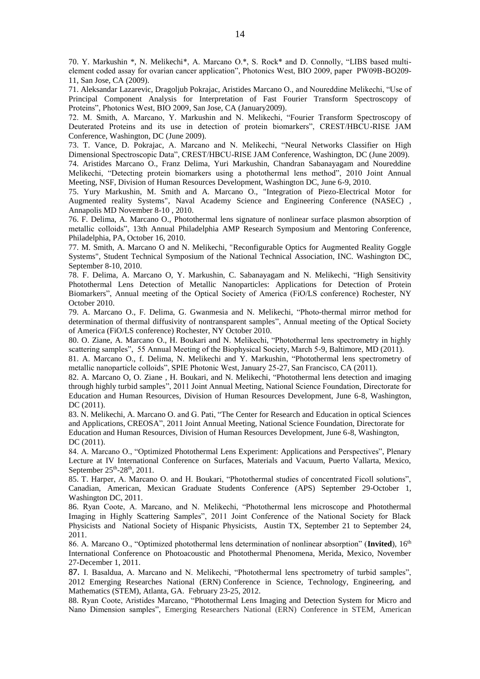70. Y. Markushin \*, N. Melikechi\*, A. Marcano O.\*, S. Rock\* and D. Connolly, "LIBS based multielement coded assay for ovarian cancer application", Photonics West, BIO 2009, paper PW09B-BO209- 11, San Jose, CA (2009).

71. Aleksandar Lazarevic, Dragoljub Pokrajac, Aristides Marcano O., and Noureddine Melikechi, "Use of Principal Component Analysis for Interpretation of Fast Fourier Transform Spectroscopy of Proteins", Photonics West, BIO 2009, San Jose, CA (January2009).

72. M. Smith, A. Marcano, Y. Markushin and N. Melikechi, "Fourier Transform Spectroscopy of Deuterated Proteins and its use in detection of protein biomarkers", CREST/HBCU-RISE JAM Conference, Washington, DC (June 2009).

73. T. Vance, D. Pokrajac, A. Marcano and N. Melikechi, "Neural Networks Classifier on High Dimensional Spectroscopic Data", CREST/HBCU-RISE JAM Conference, Washington, DC (June 2009). 74. Aristides Marcano O., Franz Delima, Yuri Markushin, Chandran Sabanayagam and Noureddine Melikechi, "Detecting protein biomarkers using a photothermal lens method", 2010 Joint Annual Meeting, NSF, Division of Human Resources Development, Washington DC, June 6-9, 2010.

75. Yury Markushin, M. Smith and A. Marcano O., "Integration of Piezo-Electrical Motor for Augmented reality Systems", Naval Academy Science and Engineering Conference (NASEC) , Annapolis MD November 8-10 , 2010.

76. F. Delima, A. Marcano O., Photothermal lens signature of nonlinear surface plasmon absorption of metallic colloids", 13th Annual Philadelphia AMP Research Symposium and Mentoring Conference, Philadelphia, PA, October 16, 2010.

77. M. Smith, A. Marcano O and N. Melikechi, "Reconfigurable Optics for Augmented Reality Goggle Systems", Student Technical Symposium of the National Technical Association, INC. Washington DC, September 8-10, 2010.

78. F. Delima, A. Marcano O, Y. Markushin, C. Sabanayagam and N. Melikechi, "High Sensitivity Photothermal Lens Detection of Metallic Nanoparticles: Applications for Detection of Protein Biomarkers", Annual meeting of the Optical Society of America (FiO/LS conference) Rochester, NY October 2010.

79. A. Marcano O., F. Delima, G. Gwanmesia and N. Melikechi, "Photo-thermal mirror method for determination of thermal diffusivity of nontransparent samples", Annual meeting of the Optical Society of America (FiO/LS conference) Rochester, NY October 2010.

80. O. Ziane, A. Marcano O., H. Boukari and N. Melikechi, "Photothermal lens spectrometry in highly scattering samples", 55 Annual Meeting of the Biophysical Society, March 5-9, Baltimore, MD (2011).

81. A. Marcano O., f. Delima, N. Melikechi and Y. Markushin, "Photothermal lens spectrometry of metallic nanoparticle colloids", SPIE Photonic West, January 25-27, San Francisco, CA (2011).

82. A. Marcano O, O. Ziane , H. Boukari, and N. Melikechi, "Photothermal lens detection and imaging through highly turbid samples", 2011 Joint Annual Meeting, National Science Foundation, Directorate for Education and Human Resources, Division of Human Resources Development, June 6-8, Washington, DC (2011).

83. N. Melikechi, A. Marcano O. and G. Pati, "The Center for Research and Education in optical Sciences and Applications, CREOSA", 2011 Joint Annual Meeting, National Science Foundation, Directorate for Education and Human Resources, Division of Human Resources Development, June 6-8, Washington, DC (2011).

84. A. Marcano O., "Optimized Photothermal Lens Experiment: Applications and Perspectives", Plenary Lecture at IV International Conference on Surfaces, Materials and Vacuum, Puerto Vallarta, Mexico, September 25<sup>th</sup>-28<sup>th</sup>, 2011.

85. T. Harper, A. Marcano O. and H. Boukari, "Photothermal studies of concentrated Ficoll solutions", Canadian, American, Mexican Graduate Students Conference (APS) September 29-October 1, Washington DC, 2011.

86. Ryan Coote, A. Marcano, and N. Melikechi, "Photothermal lens microscope and Photothermal Imaging in Highly Scattering Samples", 2011 Joint Conference of the National Society for Black Physicists and National Society of Hispanic Physicists, Austin TX, September 21 to September 24, 2011.

86. A. Marcano O., "Optimized photothermal lens determination of nonlinear absorption" (**Invited**), 16th International Conference on Photoacoustic and Photothermal Phenomena, Merida, Mexico, November 27-December 1, 2011.

87. I. Basaldua, A. Marcano and N. Melikechi, "Photothermal lens spectrometry of turbid samples", 2012 Emerging Researches National (ERN) Conference in Science, Technology, Engineering, and Mathematics (STEM), Atlanta, GA. February 23-25, 2012.

88. Ryan Coote, Aristides Marcano, "Photothermal Lens Imaging and Detection System for Micro and Nano Dimension samples", Emerging Researchers National (ERN) Conference in STEM, American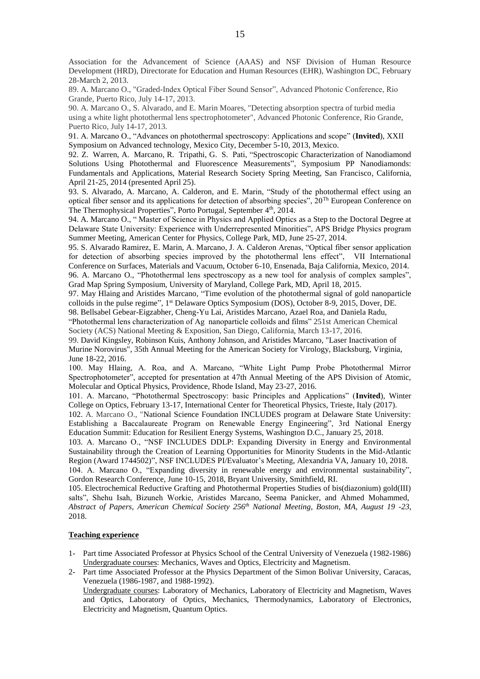Association for the Advancement of Science (AAAS) and NSF Division of Human Resource Development (HRD), Directorate for Education and Human Resources (EHR), Washington DC, February 28-March 2, 2013.

89. A. Marcano O., "Graded-Index Optical Fiber Sound Sensor", Advanced Photonic Conference, Rio Grande, Puerto Rico, July 14-17, 2013.

90. A. Marcano O., S. Alvarado, and E. Marin Moares, "Detecting absorption spectra of turbid media using a white light photothermal lens spectrophotometer", Advanced Photonic Conference, Rio Grande, Puerto Rico, July 14-17, 2013.

91. A. Marcano O., "Advances on photothermal spectroscopy: Applications and scope" (**Invited**), XXII Symposium on Advanced technology, Mexico City, December 5-10, 2013, Mexico.

92. Z. Warren, A. Marcano, R. Tripathi, G. S. Pati, "Spectroscopic Characterization of Nanodiamond Solutions Using Photothermal and Fluorescence Measurements", Symposium PP Nanodiamonds: Fundamentals and Applications, Material Research Society Spring Meeting, San Francisco, California, April 21-25, 2014 (presented April 25).

93. S. Alvarado, A. Marcano, A. Calderon, and E. Marin, "Study of the photothermal effect using an optical fiber sensor and its applications for detection of absorbing species", 20Th European Conference on The Thermophysical Properties", Porto Portugal, September  $4<sup>th</sup>$ , 2014.

94. A. Marcano O., " Master of Science in Physics and Applied Optics as a Step to the Doctoral Degree at Delaware State University: Experience with Underrepresented Minorities", APS Bridge Physics program Summer Meeting, American Center for Physics, College Park, MD, June 25-27, 2014.

95. S. Alvarado Ramirez, E. Marin, A. Marcano, J. A. Calderon Arenas, "Optical fiber sensor application for detection of absorbing species improved by the photothermal lens effect", VII International Conference on Surfaces, Materials and Vacuum, October 6-10, Ensenada, Baja California, Mexico, 2014. 96. A. Marcano O., "Photothermal lens spectroscopy as a new tool for analysis of complex samples",

Grad Map Spring Symposium, University of Maryland, College Park, MD, April 18, 2015.

97. May Hlaing and Aristides Marcano, "Time evolution of the photothermal signal of gold nanoparticle colloids in the pulse regime", 1 st Delaware Optics Symposium (DOS), October 8-9, 2015, Dover, DE.

98. Bellsabel Gebear-Eigzabher, Cheng-Yu Lai, Aristides Marcano, Azael Roa, and Daniela Radu, "Photothermal lens characterization of Ag nanoparticle colloids and films" 251st American Chemical Society (ACS) National Meeting & Exposition, San Diego, California, March 13-17, 2016.

99. David Kingsley, Robinson Kuis, Anthony Johnson, and Aristides Marcano, "Laser Inactivation of

Murine Norovirus", 35th Annual Meeting for the American Society for Virology, Blacksburg, Virginia, June 18-22, 2016.

100. May Hlaing, A. Roa, and A. Marcano, "White Light Pump Probe Photothermal Mirror Spectrophotometer", accepted for presentation at 47th Annual Meeting of the APS Division of Atomic, Molecular and Optical Physics, Providence, Rhode Island, May 23-27, 2016.

101. A. Marcano, "Photothermal Spectroscopy: basic Principles and Applications" (**Invited**), Winter College on Optics, February 13-17, International Center for Theoretical Physics, Trieste, Italy (2017).

102. A. Marcano O., "National Science Foundation INCLUDES program at Delaware State University: Establishing a Baccalaureate Program on Renewable Energy Engineering", 3rd [National Energy](http://www.energyeducationsummit.org/)  [Education Summit:](http://www.energyeducationsummit.org/) Education for Resilient Energy Systems, Washington D.C., January 25, 2018.

103. A. Marcano O., "NSF INCLUDES DDLP: Expanding Diversity in Energy and Environmental Sustainability through the Creation of Learning Opportunities for Minority Students in the Mid-Atlantic Region (Award 1744502)", NSF INCLUDES PI/Evaluator's Meeting, Alexandria VA, January 10, 2018.

104. A. Marcano O., "Expanding diversity in renewable energy and environmental sustainability", Gordon Research Conference, June 10-15, 2018, Bryant University, Smithfield, RI.

105. Electrochemical Reductive Grafting and Photothermal Properties Studies of bis(diazonium) gold(III) salts", Shehu Isah, Bizuneh Workie, Aristides Marcano, Seema Panicker, and Ahmed Mohammed, *Abstract of Papers, American Chemical Society 256th National Meeting, Boston, MA, August 19 -23*, 2018.

# **Teaching experience**

- 1- Part time Associated Professor at Physics School of the Central University of Venezuela (1982-1986) Undergraduate courses: Mechanics, Waves and Optics, Electricity and Magnetism.
- 2- Part time Associated Professor at the Physics Department of the Simon Bolivar University, Caracas, Venezuela (1986-1987, and 1988-1992). Undergraduate courses: Laboratory of Mechanics, Laboratory of Electricity and Magnetism, Waves and Optics, Laboratory of Optics, Mechanics, Thermodynamics, Laboratory of Electronics, Electricity and Magnetism, Quantum Optics.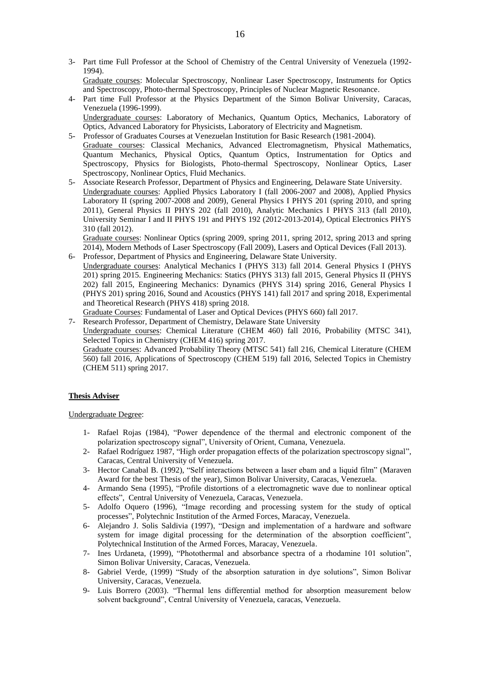3- Part time Full Professor at the School of Chemistry of the Central University of Venezuela (1992- 1994).

Graduate courses: Molecular Spectroscopy, Nonlinear Laser Spectroscopy, Instruments for Optics and Spectroscopy, Photo-thermal Spectroscopy, Principles of Nuclear Magnetic Resonance.

4- Part time Full Professor at the Physics Department of the Simon Bolivar University, Caracas, Venezuela (1996-1999).

Undergraduate courses: Laboratory of Mechanics, Quantum Optics, Mechanics, Laboratory of Optics, Advanced Laboratory for Physicists, Laboratory of Electricity and Magnetism.

- 5- Professor of Graduates Courses at Venezuelan Institution for Basic Research (1981-2004). Graduate courses: Classical Mechanics, Advanced Electromagnetism, Physical Mathematics, Quantum Mechanics, Physical Optics, Quantum Optics, Instrumentation for Optics and Spectroscopy, Physics for Biologists, Photo-thermal Spectroscopy, Nonlinear Optics, Laser Spectroscopy, Nonlinear Optics, Fluid Mechanics.
- 5- Associate Research Professor, Department of Physics and Engineering, Delaware State University. Undergraduate courses: Applied Physics Laboratory I (fall 2006-2007 and 2008), Applied Physics Laboratory II (spring 2007-2008 and 2009), General Physics I PHYS 201 (spring 2010, and spring 2011), General Physics II PHYS 202 (fall 2010), Analytic Mechanics I PHYS 313 (fall 2010), University Seminar I and II PHYS 191 and PHYS 192 (2012-2013-2014), Optical Electronics PHYS 310 (fall 2012).

Graduate courses: Nonlinear Optics (spring 2009, spring 2011, spring 2012, spring 2013 and spring 2014), Modern Methods of Laser Spectroscopy (Fall 2009), Lasers and Optical Devices (Fall 2013).

6- Professor, Department of Physics and Engineering, Delaware State University. Undergraduate courses: Analytical Mechanics I (PHYS 313) fall 2014. General Physics I (PHYS 201) spring 2015. Engineering Mechanics: Statics (PHYS 313) fall 2015, General Physics II (PHYS 202) fall 2015, Engineering Mechanics: Dynamics (PHYS 314) spring 2016, General Physics I (PHYS 201) spring 2016, Sound and Acoustics (PHYS 141) fall 2017 and spring 2018, Experimental and Theoretical Research (PHYS 418) spring 2018.

Graduate Courses: Fundamental of Laser and Optical Devices (PHYS 660) fall 2017.

7- Research Professor, Department of Chemistry, Delaware State University Undergraduate courses: Chemical Literature (CHEM 460) fall 2016, Probability (MTSC 341), Selected Topics in Chemistry (CHEM 416) spring 2017. Graduate courses: Advanced Probability Theory (MTSC 541) fall 216, Chemical Literature (CHEM 560) fall 2016, Applications of Spectroscopy (CHEM 519) fall 2016, Selected Topics in Chemistry (CHEM 511) spring 2017.

# **Thesis Adviser**

# Undergraduate Degree:

- 1- Rafael Rojas (1984), "Power dependence of the thermal and electronic component of the polarization spectroscopy signal", University of Orient, Cumana, Venezuela.
- 2- Rafael Rodríguez 1987, "High order propagation effects of the polarization spectroscopy signal", Caracas, Central University of Venezuela.
- 3- Hector Canabal B. (1992), "Self interactions between a laser ebam and a liquid film" (Maraven Award for the best Thesis of the year), Simon Bolivar University, Caracas, Venezuela.
- 4- Armando Sena (1995), "Profile distortions of a electromagnetic wave due to nonlinear optical effects", Central University of Venezuela, Caracas, Venezuela.
- 5- Adolfo Oquero (1996), "Image recording and processing system for the study of optical processes", Polytechnic Institution of the Armed Forces, Maracay, Venezuela.
- 6- Alejandro J. Solis Saldivia (1997), "Design and implementation of a hardware and software system for image digital processing for the determination of the absorption coefficient", Polytechnical Institution of the Armed Forces, Maracay, Venezuela.
- 7- Ines Urdaneta, (1999), "Photothermal and absorbance spectra of a rhodamine 101 solution", Simon Bolivar University, Caracas, Venezuela.
- 8- Gabriel Verde, (1999) "Study of the absorption saturation in dye solutions", Simon Bolivar University, Caracas, Venezuela.
- 9- Luis Borrero (2003). "Thermal lens differential method for absorption measurement below solvent background", Central University of Venezuela, caracas, Venezuela.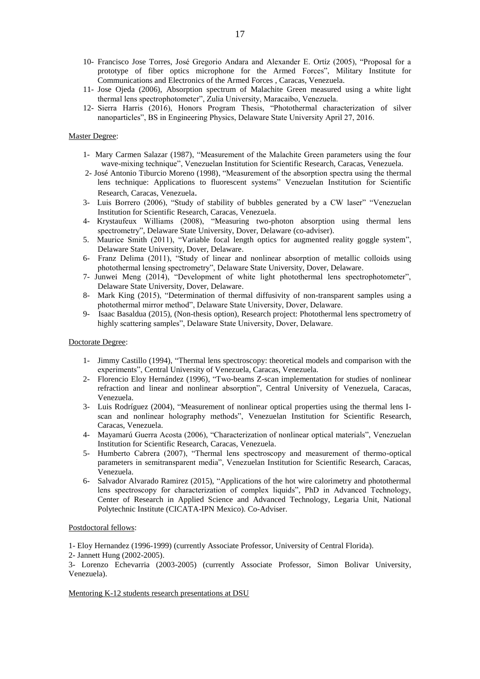- 10- Francisco Jose Torres, José Gregorio Andara and Alexander E. Ortíz (2005), "Proposal for a prototype of fiber optics microphone for the Armed Forces", Military Institute for Communications and Electronics of the Armed Forces , Caracas, Venezuela.
- 11- Jose Ojeda (2006), Absorption spectrum of Malachite Green measured using a white light thermal lens spectrophotometer", Zulia University, Maracaibo, Venezuela.
- 12- Sierra Harris (2016), Honors Program Thesis, "Photothermal characterization of silver nanoparticles", BS in Engineering Physics, Delaware State University April 27, 2016.

# Master Degree:

- 1- Mary Carmen Salazar (1987), "Measurement of the Malachite Green parameters using the four wave-mixing technique", Venezuelan Institution for Scientific Research, Caracas, Venezuela.
- 2- José Antonio Tiburcio Moreno (1998), "Measurement of the absorption spectra using the thermal lens technique: Applications to fluorescent systems" Venezuelan Institution for Scientific Research, Caracas, Venezuela.
- 3- Luis Borrero (2006), "Study of stability of bubbles generated by a CW laser" "Venezuelan Institution for Scientific Research, Caracas, Venezuela.
- 4- Krystaufeux Williams (2008), "Measuring two-photon absorption using thermal lens spectrometry", Delaware State University, Dover, Delaware (co-adviser).
- 5. Maurice Smith (2011), "Variable focal length optics for augmented reality goggle system", Delaware State University, Dover, Delaware.
- 6- Franz Delima (2011), "Study of linear and nonlinear absorption of metallic colloids using photothermal lensing spectrometry", Delaware State University, Dover, Delaware.
- 7- Junwei Meng (2014), "Development of white light photothermal lens spectrophotometer", Delaware State University, Dover, Delaware.
- 8- Mark King (2015), "Determination of thermal diffusivity of non-transparent samples using a photothermal mirror method", Delaware State University, Dover, Delaware.
- 9- Isaac Basaldua (2015), (Non-thesis option), Research project: Photothermal lens spectrometry of highly scattering samples", Delaware State University, Dover, Delaware.

# Doctorate Degree:

- 1- Jimmy Castillo (1994), "Thermal lens spectroscopy: theoretical models and comparison with the experiments", Central University of Venezuela, Caracas, Venezuela.
- 2- Florencio Eloy Hernández (1996), "Two-beams Z-scan implementation for studies of nonlinear refraction and linear and nonlinear absorption", Central University of Venezuela, Caracas, Venezuela.
- 3- Luis Rodríguez (2004), "Measurement of nonlinear optical properties using the thermal lens Iscan and nonlinear holography methods", Venezuelan Institution for Scientific Research, Caracas, Venezuela.
- 4- Mayamarú Guerra Acosta (2006), "Characterization of nonlinear optical materials", Venezuelan Institution for Scientific Research, Caracas, Venezuela.
- 5- Humberto Cabrera (2007), "Thermal lens spectroscopy and measurement of thermo-optical parameters in semitransparent media", Venezuelan Institution for Scientific Research, Caracas, Venezuela.
- 6- Salvador Alvarado Ramirez (2015), "Applications of the hot wire calorimetry and photothermal lens spectroscopy for characterization of complex liquids", PhD in Advanced Technology, Center of Research in Applied Science and Advanced Technology, Legaria Unit, National Polytechnic Institute (CICATA-IPN Mexico). Co-Adviser.

### Postdoctoral fellows:

1- Eloy Hernandez (1996-1999) (currently Associate Professor, University of Central Florida).

2- Jannett Hung (2002-2005).

3- Lorenzo Echevarria (2003-2005) (currently Associate Professor, Simon Bolivar University, Venezuela).

#### Mentoring K-12 students research presentations at DSU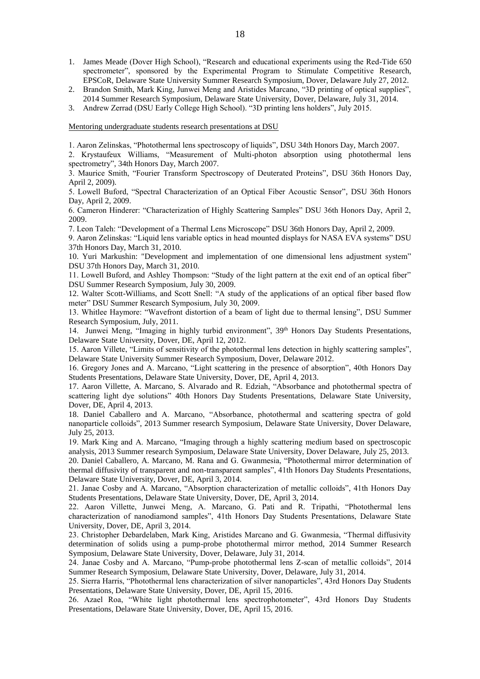- 1. James Meade (Dover High School), "Research and educational experiments using the Red-Tide 650 spectrometer", sponsored by the Experimental Program to Stimulate Competitive Research, EPSCoR, Delaware State University Summer Research Symposium, Dover, Delaware July 27, 2012.
- 2. Brandon Smith, Mark King, Junwei Meng and Aristides Marcano, "3D printing of optical supplies", 2014 Summer Research Symposium, Delaware State University, Dover, Delaware, July 31, 2014.
- 3. Andrew Zerrad (DSU Early College High School). "3D printing lens holders", July 2015.

Mentoring undergraduate students research presentations at DSU

1. Aaron Zelinskas, "Photothermal lens spectroscopy of liquids", DSU 34th Honors Day, March 2007.

2. Krystaufeux Williams, "Measurement of Multi-photon absorption using photothermal lens spectrometry", 34th Honors Day, March 2007.

3. Maurice Smith, "Fourier Transform Spectroscopy of Deuterated Proteins", DSU 36th Honors Day, April 2, 2009).

5. Lowell Buford, "Spectral Characterization of an Optical Fiber Acoustic Sensor", DSU 36th Honors Day, April 2, 2009.

6. Cameron Hinderer: "Characterization of Highly Scattering Samples" DSU 36th Honors Day, April 2, 2009.

7. Leon Taleh: "Development of a Thermal Lens Microscope" DSU 36th Honors Day, April 2, 2009.

9. Aaron Zelinskas: "Liquid lens variable optics in head mounted displays for NASA EVA systems" DSU 37th Honors Day, March 31, 2010.

10. Yuri Markushin: "Development and implementation of one dimensional lens adjustment system" DSU 37th Honors Day, March 31, 2010.

11. Lowell Buford, and Ashley Thompson: "Study of the light pattern at the exit end of an optical fiber" DSU Summer Research Symposium, July 30, 2009.

12. Walter Scott-Williams, and Scott Snell: "A study of the applications of an optical fiber based flow meter" DSU Summer Research Symposium, July 30, 2009.

13. Whitlee Haymore: "Wavefront distortion of a beam of light due to thermal lensing", DSU Summer Research Symposium, July, 2011.

14. Junwei Meng, "Imaging in highly turbid environment", 39th Honors Day Students Presentations, Delaware State University, Dover, DE, April 12, 2012.

15. Aaron Villete, "Limits of sensitivity of the photothermal lens detection in highly scattering samples", Delaware State University Summer Research Symposium, Dover, Delaware 2012.

16. Gregory Jones and A. Marcano, "Light scattering in the presence of absorption", 40th Honors Day Students Presentations, Delaware State University, Dover, DE, April 4, 2013.

17. Aaron Villette, A. Marcano, S. Alvarado and R. Edziah, "Absorbance and photothermal spectra of scattering light dye solutions" 40th Honors Day Students Presentations, Delaware State University, Dover, DE, April 4, 2013.

18. Daniel Caballero and A. Marcano, "Absorbance, photothermal and scattering spectra of gold nanoparticle colloids", 2013 Summer research Symposium, Delaware State University, Dover Delaware, July 25, 2013.

19. Mark King and A. Marcano, "Imaging through a highly scattering medium based on spectroscopic analysis, 2013 Summer research Symposium, Delaware State University, Dover Delaware, July 25, 2013. 20. Daniel Caballero, A. Marcano, M. Rana and G. Gwanmesia, "Photothermal mirror determination of thermal diffusivity of transparent and non-transparent samples", 41th Honors Day Students Presentations, Delaware State University, Dover, DE, April 3, 2014.

21. Janae Cosby and A. Marcano, "Absorption characterization of metallic colloids", 41th Honors Day Students Presentations, Delaware State University, Dover, DE, April 3, 2014.

22. Aaron Villette, Junwei Meng, A. Marcano, G. Pati and R. Tripathi, "Photothermal lens characterization of nanodiamond samples", 41th Honors Day Students Presentations, Delaware State University, Dover, DE, April 3, 2014.

23. Christopher Debardelaben, Mark King, Aristides Marcano and G. Gwanmesia, "Thermal diffusivity determination of solids using a pump-probe photothermal mirror method, 2014 Summer Research Symposium, Delaware State University, Dover, Delaware, July 31, 2014.

24. Janae Cosby and A. Marcano, "Pump-probe photothermal lens Z-scan of metallic colloids", 2014 Summer Research Symposium, Delaware State University, Dover, Delaware, July 31, 2014.

25. Sierra Harris, "Photothermal lens characterization of silver nanoparticles", 43rd Honors Day Students Presentations, Delaware State University, Dover, DE, April 15, 2016.

26. Azael Roa, "White light photothermal lens spectrophotometer", 43rd Honors Day Students Presentations, Delaware State University, Dover, DE, April 15, 2016.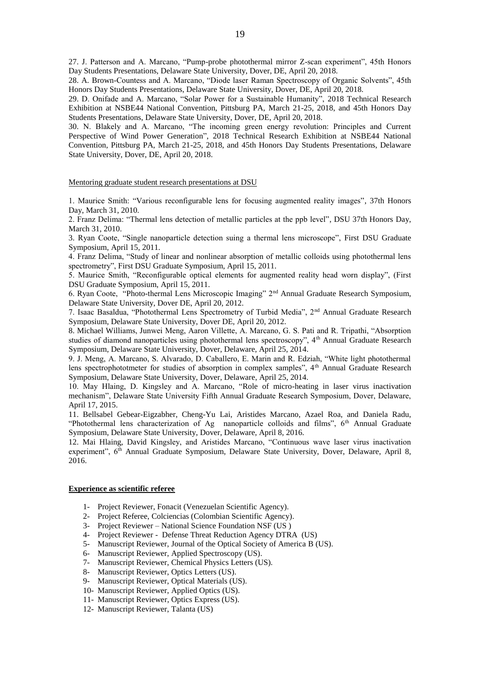27. J. Patterson and A. Marcano, "Pump-probe photothermal mirror Z-scan experiment", 45th Honors Day Students Presentations, Delaware State University, Dover, DE, April 20, 2018.

28. A. Brown-Countess and A. Marcano, "Diode laser Raman Spectroscopy of Organic Solvents", 45th Honors Day Students Presentations, Delaware State University, Dover, DE, April 20, 2018.

29. D. Onifade and A. Marcano, "Solar Power for a Sustainable Humanity", 2018 Technical Research Exhibition at NSBE44 National Convention, Pittsburg PA, March 21-25, 2018, and 45th Honors Day Students Presentations, Delaware State University, Dover, DE, April 20, 2018.

30. N. Blakely and A. Marcano, "The incoming green energy revolution: Principles and Current Perspective of Wind Power Generation", 2018 Technical Research Exhibition at NSBE44 National Convention, Pittsburg PA, March 21-25, 2018, and 45th Honors Day Students Presentations, Delaware State University, Dover, DE, April 20, 2018.

#### Mentoring graduate student research presentations at DSU

1. Maurice Smith: "Various reconfigurable lens for focusing augmented reality images", 37th Honors Day, March 31, 2010.

2. Franz Delima: "Thermal lens detection of metallic particles at the ppb level", DSU 37th Honors Day, March 31, 2010.

3. Ryan Coote, "Single nanoparticle detection suing a thermal lens microscope", First DSU Graduate Symposium, April 15, 2011.

4. Franz Delima, "Study of linear and nonlinear absorption of metallic colloids using photothermal lens spectrometry", First DSU Graduate Symposium, April 15, 2011.

5. Maurice Smith, "Reconfigurable optical elements for augmented reality head worn display", (First DSU Graduate Symposium, April 15, 2011.

6. Ryan Coote, "Photo-thermal Lens Microscopic Imaging" 2nd Annual Graduate Research Symposium, Delaware State University, Dover DE, April 20, 2012.

7. Isaac Basaldua, "Photothermal Lens Spectrometry of Turbid Media", 2nd Annual Graduate Research Symposium, Delaware State University, Dover DE, April 20, 2012.

8. Michael Williams, Junwei Meng, Aaron Villette, A. Marcano, G. S. Pati and R. Tripathi, "Absorption studies of diamond nanoparticles using photothermal lens spectroscopy", 4<sup>th</sup> Annual Graduate Research Symposium, Delaware State University, Dover, Delaware, April 25, 2014.

9. J. Meng, A. Marcano, S. Alvarado, D. Caballero, E. Marin and R. Edziah, "White light photothermal lens spectrophototmeter for studies of absorption in complex samples", 4<sup>th</sup> Annual Graduate Research Symposium, Delaware State University, Dover, Delaware, April 25, 2014.

10. May Hlaing, D. Kingsley and A. Marcano, "Role of micro-heating in laser virus inactivation mechanism", Delaware State University Fifth Annual Graduate Research Symposium, Dover, Delaware, April 17, 2015.

11. Bellsabel Gebear-Eigzabher, Cheng-Yu Lai, Aristides Marcano, Azael Roa, and Daniela Radu, "Photothermal lens characterization of Ag nanoparticle colloids and films",  $6<sup>th</sup>$  Annual Graduate Symposium, Delaware State University, Dover, Delaware, April 8, 2016.

12. Mai Hlaing, David Kingsley, and Aristides Marcano, "Continuous wave laser virus inactivation experiment", 6<sup>th</sup> Annual Graduate Symposium, Delaware State University, Dover, Delaware, April 8, 2016.

### **Experience as scientific referee**

- 1- Project Reviewer, Fonacit (Venezuelan Scientific Agency).
- 2- Project Referee, Colciencias (Colombian Scientific Agency).
- 3- Project Reviewer National Science Foundation NSF (US )
- 4- Project Reviewer Defense Threat Reduction Agency DTRA (US)
- 5- Manuscript Reviewer, Journal of the Optical Society of America B (US).
- 6- Manuscript Reviewer, Applied Spectroscopy (US).
- 7- Manuscript Reviewer, Chemical Physics Letters (US).
- 8- Manuscript Reviewer, Optics Letters (US).
- 9- Manuscript Reviewer, Optical Materials (US).
- 10- Manuscript Reviewer, Applied Optics (US).
- 11- Manuscript Reviewer, Optics Express (US).
- 12- Manuscript Reviewer, Talanta (US)